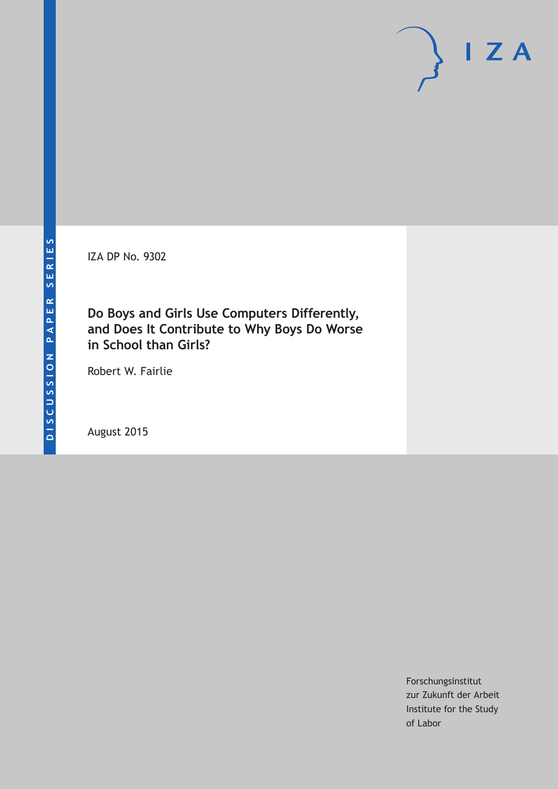IZA DP No. 9302

**Do Boys and Girls Use Computers Differently, and Does It Contribute to Why Boys Do Worse in School than Girls?**

Robert W. Fairlie

August 2015

Forschungsinstitut zur Zukunft der Arbeit Institute for the Study of Labor

 $I Z A$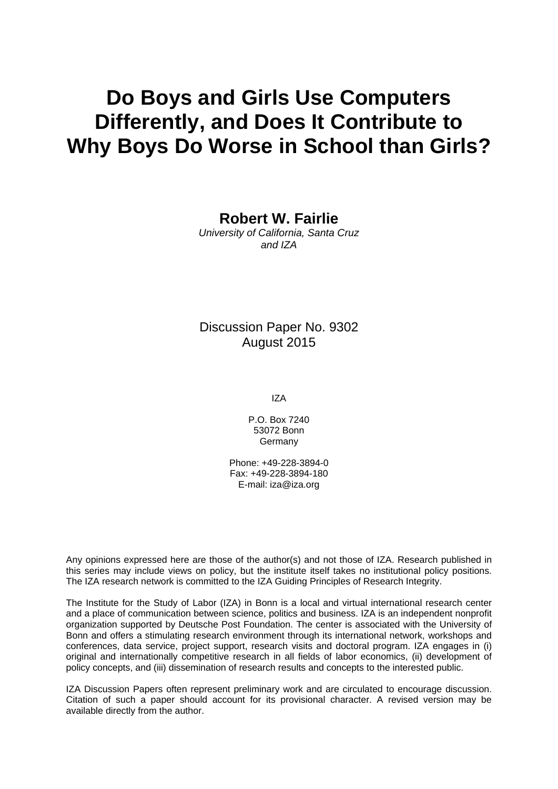# **Do Boys and Girls Use Computers Differently, and Does It Contribute to Why Boys Do Worse in School than Girls?**

**Robert W. Fairlie** 

*University of California, Santa Cruz and IZA* 

Discussion Paper No. 9302 August 2015

IZA

P.O. Box 7240 53072 Bonn Germany

Phone: +49-228-3894-0 Fax: +49-228-3894-180 E-mail: iza@iza.org

Any opinions expressed here are those of the author(s) and not those of IZA. Research published in this series may include views on policy, but the institute itself takes no institutional policy positions. The IZA research network is committed to the IZA Guiding Principles of Research Integrity.

The Institute for the Study of Labor (IZA) in Bonn is a local and virtual international research center and a place of communication between science, politics and business. IZA is an independent nonprofit organization supported by Deutsche Post Foundation. The center is associated with the University of Bonn and offers a stimulating research environment through its international network, workshops and conferences, data service, project support, research visits and doctoral program. IZA engages in (i) original and internationally competitive research in all fields of labor economics, (ii) development of policy concepts, and (iii) dissemination of research results and concepts to the interested public.

IZA Discussion Papers often represent preliminary work and are circulated to encourage discussion. Citation of such a paper should account for its provisional character. A revised version may be available directly from the author.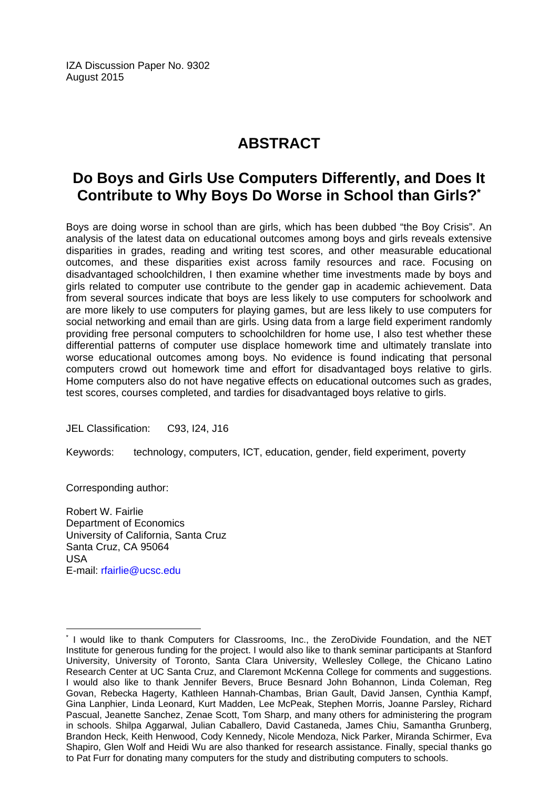IZA Discussion Paper No. 9302 August 2015

# **ABSTRACT**

# **Do Boys and Girls Use Computers Differently, and Does It Contribute to Why Boys Do Worse in School than Girls?\***

Boys are doing worse in school than are girls, which has been dubbed "the Boy Crisis". An analysis of the latest data on educational outcomes among boys and girls reveals extensive disparities in grades, reading and writing test scores, and other measurable educational outcomes, and these disparities exist across family resources and race. Focusing on disadvantaged schoolchildren, I then examine whether time investments made by boys and girls related to computer use contribute to the gender gap in academic achievement. Data from several sources indicate that boys are less likely to use computers for schoolwork and are more likely to use computers for playing games, but are less likely to use computers for social networking and email than are girls. Using data from a large field experiment randomly providing free personal computers to schoolchildren for home use, I also test whether these differential patterns of computer use displace homework time and ultimately translate into worse educational outcomes among boys. No evidence is found indicating that personal computers crowd out homework time and effort for disadvantaged boys relative to girls. Home computers also do not have negative effects on educational outcomes such as grades, test scores, courses completed, and tardies for disadvantaged boys relative to girls.

JEL Classification: C93, I24, J16

Keywords: technology, computers, ICT, education, gender, field experiment, poverty

Corresponding author:

 $\overline{a}$ 

Robert W. Fairlie Department of Economics University of California, Santa Cruz Santa Cruz, CA 95064 USA E-mail: rfairlie@ucsc.edu

<sup>\*</sup> I would like to thank Computers for Classrooms, Inc., the ZeroDivide Foundation, and the NET Institute for generous funding for the project. I would also like to thank seminar participants at Stanford University, University of Toronto, Santa Clara University, Wellesley College, the Chicano Latino Research Center at UC Santa Cruz, and Claremont McKenna College for comments and suggestions. I would also like to thank Jennifer Bevers, Bruce Besnard John Bohannon, Linda Coleman, Reg Govan, Rebecka Hagerty, Kathleen Hannah-Chambas, Brian Gault, David Jansen, Cynthia Kampf, Gina Lanphier, Linda Leonard, Kurt Madden, Lee McPeak, Stephen Morris, Joanne Parsley, Richard Pascual, Jeanette Sanchez, Zenae Scott, Tom Sharp, and many others for administering the program in schools. Shilpa Aggarwal, Julian Caballero, David Castaneda, James Chiu, Samantha Grunberg, Brandon Heck, Keith Henwood, Cody Kennedy, Nicole Mendoza, Nick Parker, Miranda Schirmer, Eva Shapiro, Glen Wolf and Heidi Wu are also thanked for research assistance. Finally, special thanks go to Pat Furr for donating many computers for the study and distributing computers to schools.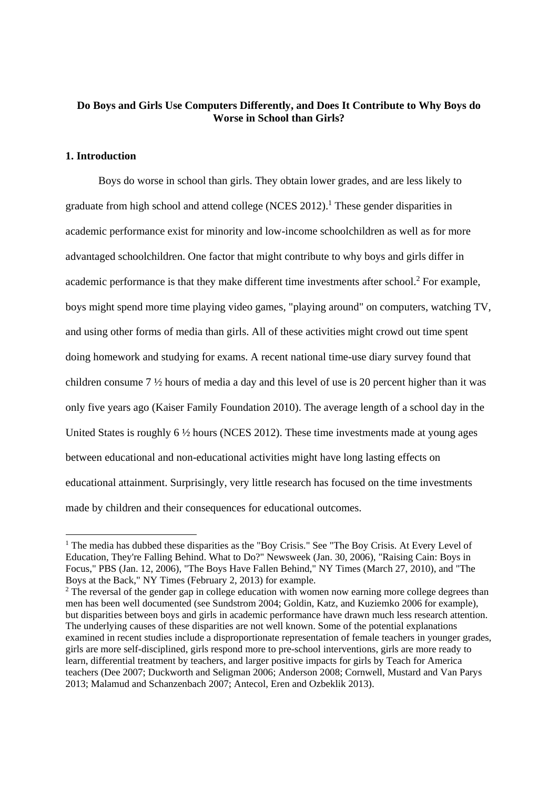# **Do Boys and Girls Use Computers Differently, and Does It Contribute to Why Boys do Worse in School than Girls?**

## **1. Introduction**

 Boys do worse in school than girls. They obtain lower grades, and are less likely to graduate from high school and attend college (NCES  $2012$ ).<sup>1</sup> These gender disparities in academic performance exist for minority and low-income schoolchildren as well as for more advantaged schoolchildren. One factor that might contribute to why boys and girls differ in academic performance is that they make different time investments after school.<sup>2</sup> For example, boys might spend more time playing video games, "playing around" on computers, watching TV, and using other forms of media than girls. All of these activities might crowd out time spent doing homework and studying for exams. A recent national time-use diary survey found that children consume 7 ½ hours of media a day and this level of use is 20 percent higher than it was only five years ago (Kaiser Family Foundation 2010). The average length of a school day in the United States is roughly 6 ½ hours (NCES 2012). These time investments made at young ages between educational and non-educational activities might have long lasting effects on educational attainment. Surprisingly, very little research has focused on the time investments made by children and their consequences for educational outcomes.

<sup>&</sup>lt;sup>1</sup> The media has dubbed these disparities as the "Boy Crisis." See "The Boy Crisis. At Every Level of Education, They're Falling Behind. What to Do?" Newsweek (Jan. 30, 2006), "Raising Cain: Boys in Focus," PBS (Jan. 12, 2006), "The Boys Have Fallen Behind," NY Times (March 27, 2010), and "The Boys at the Back," NY Times (February 2, 2013) for example.

 $2$  The reversal of the gender gap in college education with women now earning more college degrees than men has been well documented (see Sundstrom 2004; Goldin, Katz, and Kuziemko 2006 for example), but disparities between boys and girls in academic performance have drawn much less research attention. The underlying causes of these disparities are not well known. Some of the potential explanations examined in recent studies include a disproportionate representation of female teachers in younger grades, girls are more self-disciplined, girls respond more to pre-school interventions, girls are more ready to learn, differential treatment by teachers, and larger positive impacts for girls by Teach for America teachers (Dee 2007; Duckworth and Seligman 2006; Anderson 2008; Cornwell, Mustard and Van Parys 2013; Malamud and Schanzenbach 2007; Antecol, Eren and Ozbeklik 2013).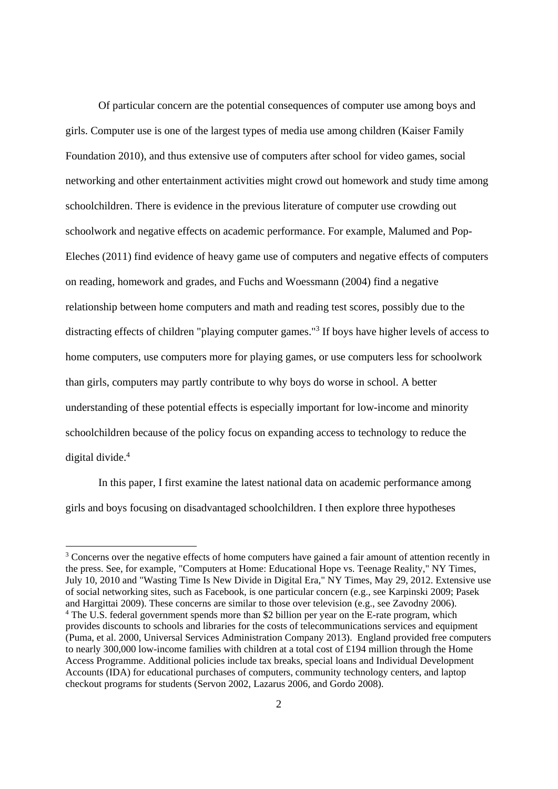Of particular concern are the potential consequences of computer use among boys and girls. Computer use is one of the largest types of media use among children (Kaiser Family Foundation 2010), and thus extensive use of computers after school for video games, social networking and other entertainment activities might crowd out homework and study time among schoolchildren. There is evidence in the previous literature of computer use crowding out schoolwork and negative effects on academic performance. For example, Malumed and Pop-Eleches (2011) find evidence of heavy game use of computers and negative effects of computers on reading, homework and grades, and Fuchs and Woessmann (2004) find a negative relationship between home computers and math and reading test scores, possibly due to the distracting effects of children "playing computer games."<sup>3</sup> If boys have higher levels of access to home computers, use computers more for playing games, or use computers less for schoolwork than girls, computers may partly contribute to why boys do worse in school. A better understanding of these potential effects is especially important for low-income and minority schoolchildren because of the policy focus on expanding access to technology to reduce the digital divide.<sup>4</sup>

 In this paper, I first examine the latest national data on academic performance among girls and boys focusing on disadvantaged schoolchildren. I then explore three hypotheses

<sup>&</sup>lt;sup>3</sup> Concerns over the negative effects of home computers have gained a fair amount of attention recently in the press. See, for example, "Computers at Home: Educational Hope vs. Teenage Reality," NY Times, July 10, 2010 and "Wasting Time Is New Divide in Digital Era," NY Times, May 29, 2012. Extensive use of social networking sites, such as Facebook, is one particular concern (e.g., see Karpinski 2009; Pasek and Hargittai 2009). These concerns are similar to those over television (e.g., see Zavodny 2006). <sup>4</sup> The U.S. federal government spends more than \$2 billion per year on the E-rate program, which provides discounts to schools and libraries for the costs of telecommunications services and equipment (Puma, et al. 2000, Universal Services Administration Company 2013). England provided free computers to nearly 300,000 low-income families with children at a total cost of £194 million through the Home Access Programme. Additional policies include tax breaks, special loans and Individual Development Accounts (IDA) for educational purchases of computers, community technology centers, and laptop checkout programs for students (Servon 2002, Lazarus 2006, and Gordo 2008).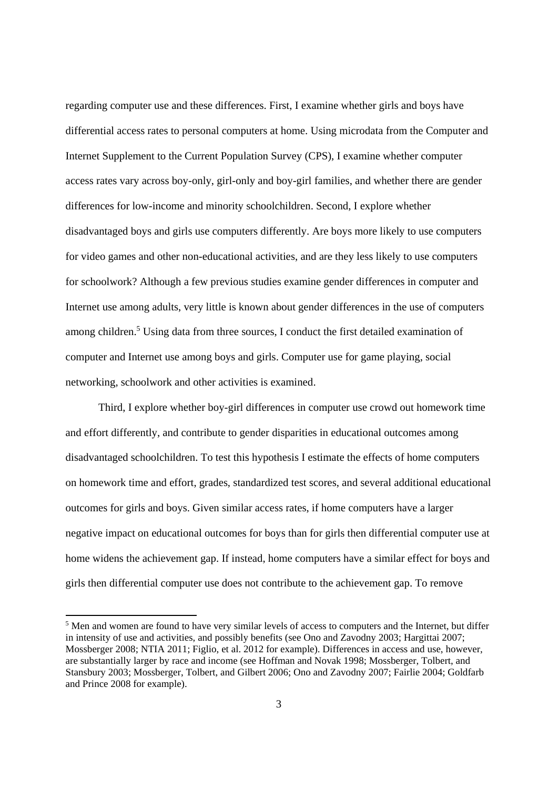regarding computer use and these differences. First, I examine whether girls and boys have differential access rates to personal computers at home. Using microdata from the Computer and Internet Supplement to the Current Population Survey (CPS), I examine whether computer access rates vary across boy-only, girl-only and boy-girl families, and whether there are gender differences for low-income and minority schoolchildren. Second, I explore whether disadvantaged boys and girls use computers differently. Are boys more likely to use computers for video games and other non-educational activities, and are they less likely to use computers for schoolwork? Although a few previous studies examine gender differences in computer and Internet use among adults, very little is known about gender differences in the use of computers among children.<sup>5</sup> Using data from three sources, I conduct the first detailed examination of computer and Internet use among boys and girls. Computer use for game playing, social networking, schoolwork and other activities is examined.

 Third, I explore whether boy-girl differences in computer use crowd out homework time and effort differently, and contribute to gender disparities in educational outcomes among disadvantaged schoolchildren. To test this hypothesis I estimate the effects of home computers on homework time and effort, grades, standardized test scores, and several additional educational outcomes for girls and boys. Given similar access rates, if home computers have a larger negative impact on educational outcomes for boys than for girls then differential computer use at home widens the achievement gap. If instead, home computers have a similar effect for boys and girls then differential computer use does not contribute to the achievement gap. To remove

<sup>&</sup>lt;sup>5</sup> Men and women are found to have very similar levels of access to computers and the Internet, but differ in intensity of use and activities, and possibly benefits (see Ono and Zavodny 2003; Hargittai 2007; Mossberger 2008; NTIA 2011; Figlio, et al. 2012 for example). Differences in access and use, however, are substantially larger by race and income (see Hoffman and Novak 1998; Mossberger, Tolbert, and Stansbury 2003; Mossberger, Tolbert, and Gilbert 2006; Ono and Zavodny 2007; Fairlie 2004; Goldfarb and Prince 2008 for example).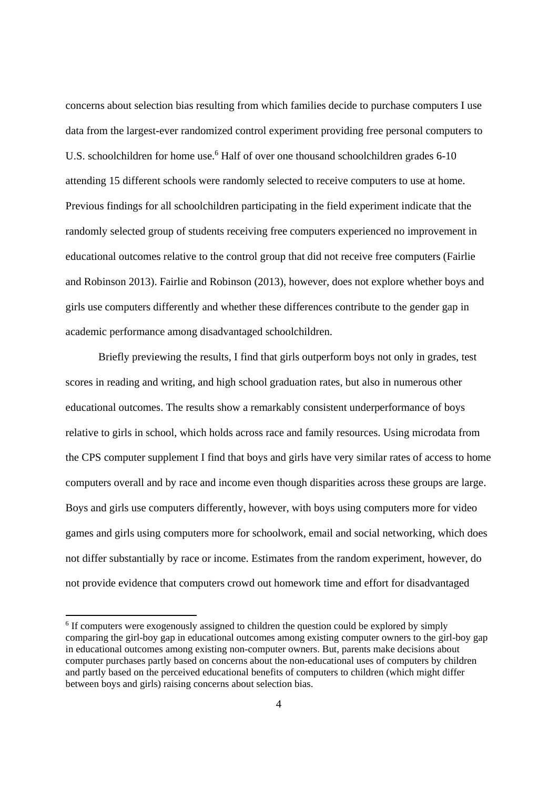concerns about selection bias resulting from which families decide to purchase computers I use data from the largest-ever randomized control experiment providing free personal computers to U.S. schoolchildren for home use.<sup>6</sup> Half of over one thousand schoolchildren grades 6-10 attending 15 different schools were randomly selected to receive computers to use at home. Previous findings for all schoolchildren participating in the field experiment indicate that the randomly selected group of students receiving free computers experienced no improvement in educational outcomes relative to the control group that did not receive free computers (Fairlie and Robinson 2013). Fairlie and Robinson (2013), however, does not explore whether boys and girls use computers differently and whether these differences contribute to the gender gap in academic performance among disadvantaged schoolchildren.

 Briefly previewing the results, I find that girls outperform boys not only in grades, test scores in reading and writing, and high school graduation rates, but also in numerous other educational outcomes. The results show a remarkably consistent underperformance of boys relative to girls in school, which holds across race and family resources. Using microdata from the CPS computer supplement I find that boys and girls have very similar rates of access to home computers overall and by race and income even though disparities across these groups are large. Boys and girls use computers differently, however, with boys using computers more for video games and girls using computers more for schoolwork, email and social networking, which does not differ substantially by race or income. Estimates from the random experiment, however, do not provide evidence that computers crowd out homework time and effort for disadvantaged

<sup>&</sup>lt;sup>6</sup> If computers were exogenously assigned to children the question could be explored by simply comparing the girl-boy gap in educational outcomes among existing computer owners to the girl-boy gap in educational outcomes among existing non-computer owners. But, parents make decisions about computer purchases partly based on concerns about the non-educational uses of computers by children and partly based on the perceived educational benefits of computers to children (which might differ between boys and girls) raising concerns about selection bias.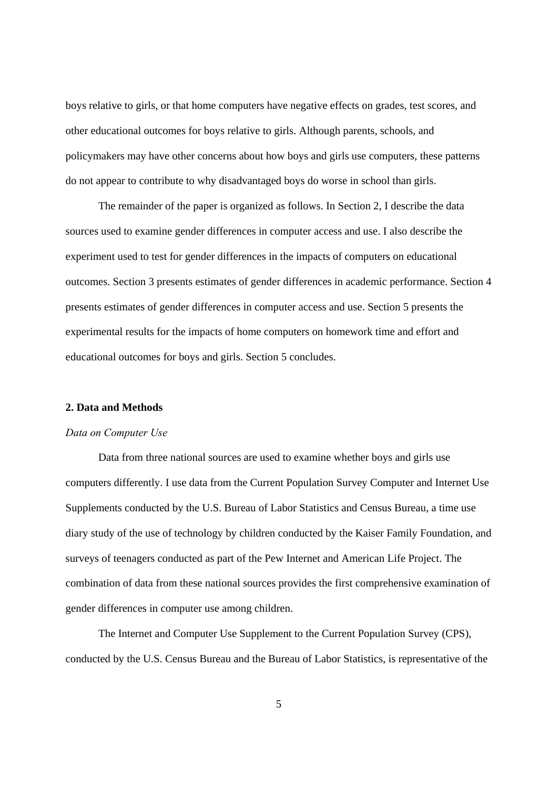boys relative to girls, or that home computers have negative effects on grades, test scores, and other educational outcomes for boys relative to girls. Although parents, schools, and policymakers may have other concerns about how boys and girls use computers, these patterns do not appear to contribute to why disadvantaged boys do worse in school than girls.

 The remainder of the paper is organized as follows. In Section 2, I describe the data sources used to examine gender differences in computer access and use. I also describe the experiment used to test for gender differences in the impacts of computers on educational outcomes. Section 3 presents estimates of gender differences in academic performance. Section 4 presents estimates of gender differences in computer access and use. Section 5 presents the experimental results for the impacts of home computers on homework time and effort and educational outcomes for boys and girls. Section 5 concludes.

# **2. Data and Methods**

#### *Data on Computer Use*

 Data from three national sources are used to examine whether boys and girls use computers differently. I use data from the Current Population Survey Computer and Internet Use Supplements conducted by the U.S. Bureau of Labor Statistics and Census Bureau, a time use diary study of the use of technology by children conducted by the Kaiser Family Foundation, and surveys of teenagers conducted as part of the Pew Internet and American Life Project. The combination of data from these national sources provides the first comprehensive examination of gender differences in computer use among children.

 The Internet and Computer Use Supplement to the Current Population Survey (CPS), conducted by the U.S. Census Bureau and the Bureau of Labor Statistics, is representative of the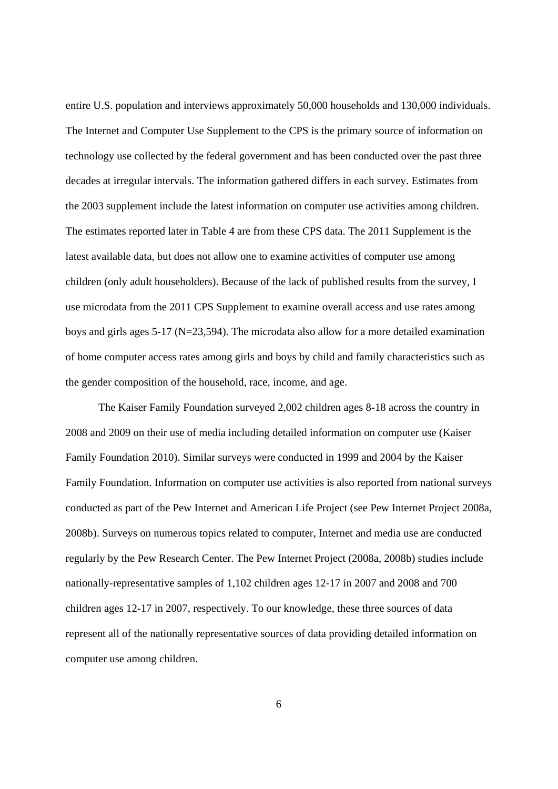entire U.S. population and interviews approximately 50,000 households and 130,000 individuals. The Internet and Computer Use Supplement to the CPS is the primary source of information on technology use collected by the federal government and has been conducted over the past three decades at irregular intervals. The information gathered differs in each survey. Estimates from the 2003 supplement include the latest information on computer use activities among children. The estimates reported later in Table 4 are from these CPS data. The 2011 Supplement is the latest available data, but does not allow one to examine activities of computer use among children (only adult householders). Because of the lack of published results from the survey, I use microdata from the 2011 CPS Supplement to examine overall access and use rates among boys and girls ages 5-17 (N=23,594). The microdata also allow for a more detailed examination of home computer access rates among girls and boys by child and family characteristics such as the gender composition of the household, race, income, and age.

 The Kaiser Family Foundation surveyed 2,002 children ages 8-18 across the country in 2008 and 2009 on their use of media including detailed information on computer use (Kaiser Family Foundation 2010). Similar surveys were conducted in 1999 and 2004 by the Kaiser Family Foundation. Information on computer use activities is also reported from national surveys conducted as part of the Pew Internet and American Life Project (see Pew Internet Project 2008a, 2008b). Surveys on numerous topics related to computer, Internet and media use are conducted regularly by the Pew Research Center. The Pew Internet Project (2008a, 2008b) studies include nationally-representative samples of 1,102 children ages 12-17 in 2007 and 2008 and 700 children ages 12-17 in 2007, respectively. To our knowledge, these three sources of data represent all of the nationally representative sources of data providing detailed information on computer use among children.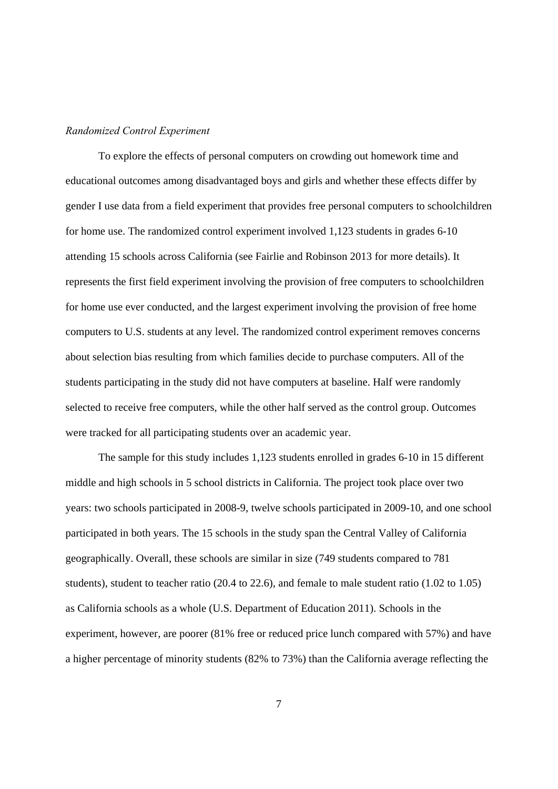### *Randomized Control Experiment*

 To explore the effects of personal computers on crowding out homework time and educational outcomes among disadvantaged boys and girls and whether these effects differ by gender I use data from a field experiment that provides free personal computers to schoolchildren for home use. The randomized control experiment involved 1,123 students in grades 6-10 attending 15 schools across California (see Fairlie and Robinson 2013 for more details). It represents the first field experiment involving the provision of free computers to schoolchildren for home use ever conducted, and the largest experiment involving the provision of free home computers to U.S. students at any level. The randomized control experiment removes concerns about selection bias resulting from which families decide to purchase computers. All of the students participating in the study did not have computers at baseline. Half were randomly selected to receive free computers, while the other half served as the control group. Outcomes were tracked for all participating students over an academic year.

 The sample for this study includes 1,123 students enrolled in grades 6-10 in 15 different middle and high schools in 5 school districts in California. The project took place over two years: two schools participated in 2008-9, twelve schools participated in 2009-10, and one school participated in both years. The 15 schools in the study span the Central Valley of California geographically. Overall, these schools are similar in size (749 students compared to 781 students), student to teacher ratio (20.4 to 22.6), and female to male student ratio (1.02 to 1.05) as California schools as a whole (U.S. Department of Education 2011). Schools in the experiment, however, are poorer (81% free or reduced price lunch compared with 57%) and have a higher percentage of minority students (82% to 73%) than the California average reflecting the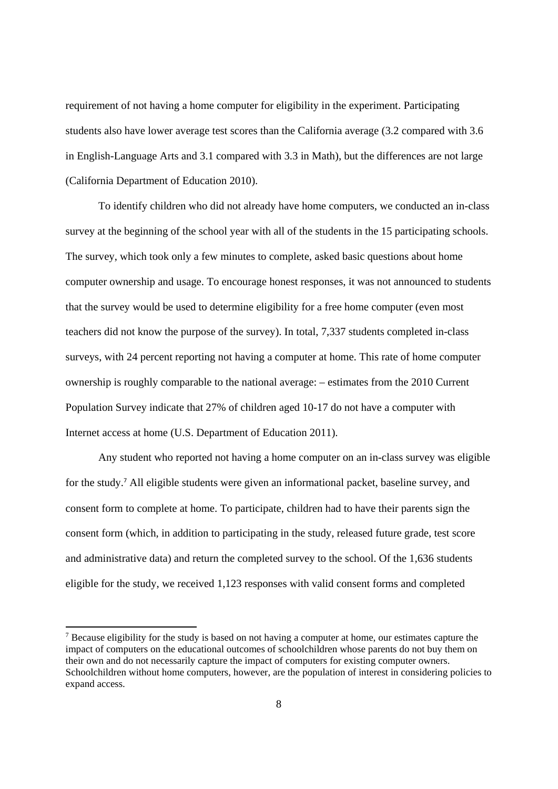requirement of not having a home computer for eligibility in the experiment. Participating students also have lower average test scores than the California average (3.2 compared with 3.6 in English-Language Arts and 3.1 compared with 3.3 in Math), but the differences are not large (California Department of Education 2010).

 To identify children who did not already have home computers, we conducted an in-class survey at the beginning of the school year with all of the students in the 15 participating schools. The survey, which took only a few minutes to complete, asked basic questions about home computer ownership and usage. To encourage honest responses, it was not announced to students that the survey would be used to determine eligibility for a free home computer (even most teachers did not know the purpose of the survey). In total, 7,337 students completed in-class surveys, with 24 percent reporting not having a computer at home. This rate of home computer ownership is roughly comparable to the national average: – estimates from the 2010 Current Population Survey indicate that 27% of children aged 10-17 do not have a computer with Internet access at home (U.S. Department of Education 2011).

 Any student who reported not having a home computer on an in-class survey was eligible for the study.<sup>7</sup> All eligible students were given an informational packet, baseline survey, and consent form to complete at home. To participate, children had to have their parents sign the consent form (which, in addition to participating in the study, released future grade, test score and administrative data) and return the completed survey to the school. Of the 1,636 students eligible for the study, we received 1,123 responses with valid consent forms and completed

 $7$  Because eligibility for the study is based on not having a computer at home, our estimates capture the impact of computers on the educational outcomes of schoolchildren whose parents do not buy them on their own and do not necessarily capture the impact of computers for existing computer owners. Schoolchildren without home computers, however, are the population of interest in considering policies to expand access.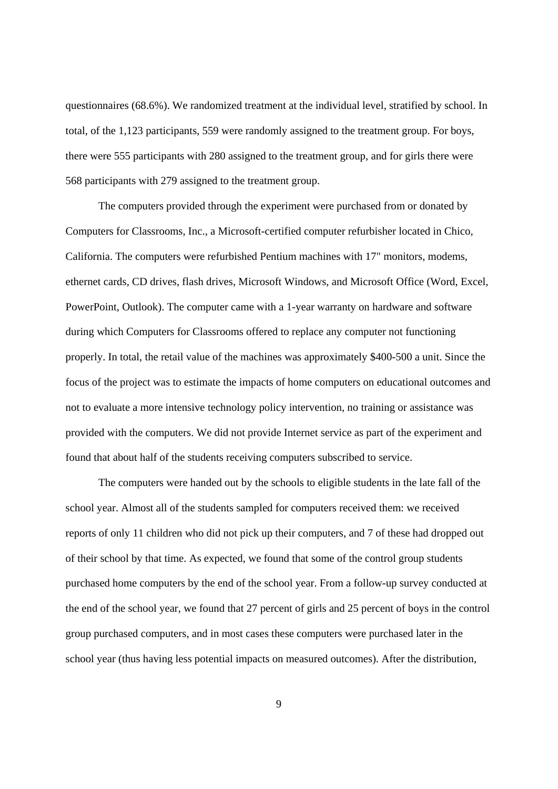questionnaires (68.6%). We randomized treatment at the individual level, stratified by school. In total, of the 1,123 participants, 559 were randomly assigned to the treatment group. For boys, there were 555 participants with 280 assigned to the treatment group, and for girls there were 568 participants with 279 assigned to the treatment group.

 The computers provided through the experiment were purchased from or donated by Computers for Classrooms, Inc., a Microsoft-certified computer refurbisher located in Chico, California. The computers were refurbished Pentium machines with 17" monitors, modems, ethernet cards, CD drives, flash drives, Microsoft Windows, and Microsoft Office (Word, Excel, PowerPoint, Outlook). The computer came with a 1-year warranty on hardware and software during which Computers for Classrooms offered to replace any computer not functioning properly. In total, the retail value of the machines was approximately \$400-500 a unit. Since the focus of the project was to estimate the impacts of home computers on educational outcomes and not to evaluate a more intensive technology policy intervention, no training or assistance was provided with the computers. We did not provide Internet service as part of the experiment and found that about half of the students receiving computers subscribed to service.

 The computers were handed out by the schools to eligible students in the late fall of the school year. Almost all of the students sampled for computers received them: we received reports of only 11 children who did not pick up their computers, and 7 of these had dropped out of their school by that time. As expected, we found that some of the control group students purchased home computers by the end of the school year. From a follow-up survey conducted at the end of the school year, we found that 27 percent of girls and 25 percent of boys in the control group purchased computers, and in most cases these computers were purchased later in the school year (thus having less potential impacts on measured outcomes). After the distribution,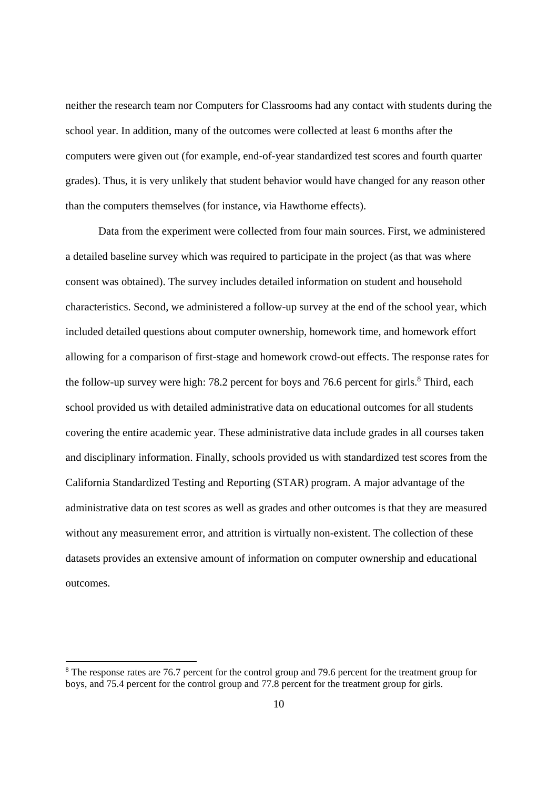neither the research team nor Computers for Classrooms had any contact with students during the school year. In addition, many of the outcomes were collected at least 6 months after the computers were given out (for example, end-of-year standardized test scores and fourth quarter grades). Thus, it is very unlikely that student behavior would have changed for any reason other than the computers themselves (for instance, via Hawthorne effects).

 Data from the experiment were collected from four main sources. First, we administered a detailed baseline survey which was required to participate in the project (as that was where consent was obtained). The survey includes detailed information on student and household characteristics. Second, we administered a follow-up survey at the end of the school year, which included detailed questions about computer ownership, homework time, and homework effort allowing for a comparison of first-stage and homework crowd-out effects. The response rates for the follow-up survey were high: 78.2 percent for boys and 76.6 percent for girls.<sup>8</sup> Third, each school provided us with detailed administrative data on educational outcomes for all students covering the entire academic year. These administrative data include grades in all courses taken and disciplinary information. Finally, schools provided us with standardized test scores from the California Standardized Testing and Reporting (STAR) program. A major advantage of the administrative data on test scores as well as grades and other outcomes is that they are measured without any measurement error, and attrition is virtually non-existent. The collection of these datasets provides an extensive amount of information on computer ownership and educational outcomes.

<sup>&</sup>lt;sup>8</sup> The response rates are 76.7 percent for the control group and 79.6 percent for the treatment group for boys, and 75.4 percent for the control group and 77.8 percent for the treatment group for girls.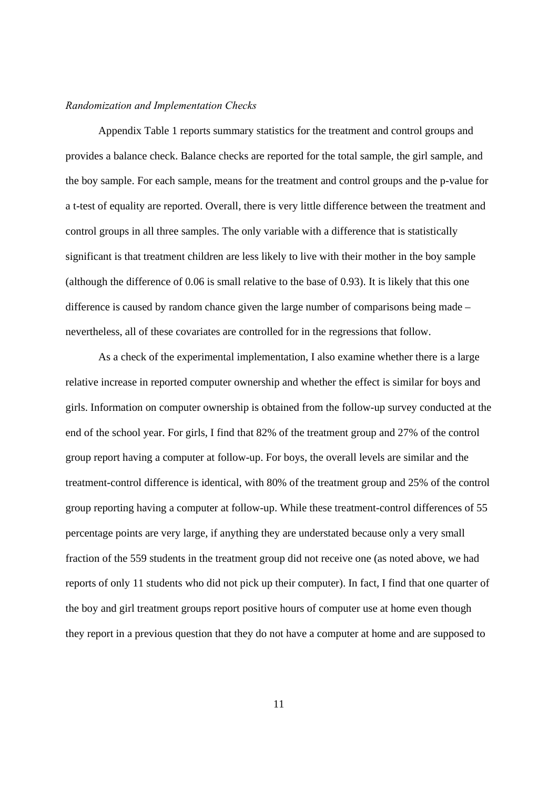#### *Randomization and Implementation Checks*

 Appendix Table 1 reports summary statistics for the treatment and control groups and provides a balance check. Balance checks are reported for the total sample, the girl sample, and the boy sample. For each sample, means for the treatment and control groups and the p-value for a t-test of equality are reported. Overall, there is very little difference between the treatment and control groups in all three samples. The only variable with a difference that is statistically significant is that treatment children are less likely to live with their mother in the boy sample (although the difference of 0.06 is small relative to the base of 0.93). It is likely that this one difference is caused by random chance given the large number of comparisons being made – nevertheless, all of these covariates are controlled for in the regressions that follow.

 As a check of the experimental implementation, I also examine whether there is a large relative increase in reported computer ownership and whether the effect is similar for boys and girls. Information on computer ownership is obtained from the follow-up survey conducted at the end of the school year. For girls, I find that 82% of the treatment group and 27% of the control group report having a computer at follow-up. For boys, the overall levels are similar and the treatment-control difference is identical, with 80% of the treatment group and 25% of the control group reporting having a computer at follow-up. While these treatment-control differences of 55 percentage points are very large, if anything they are understated because only a very small fraction of the 559 students in the treatment group did not receive one (as noted above, we had reports of only 11 students who did not pick up their computer). In fact, I find that one quarter of the boy and girl treatment groups report positive hours of computer use at home even though they report in a previous question that they do not have a computer at home and are supposed to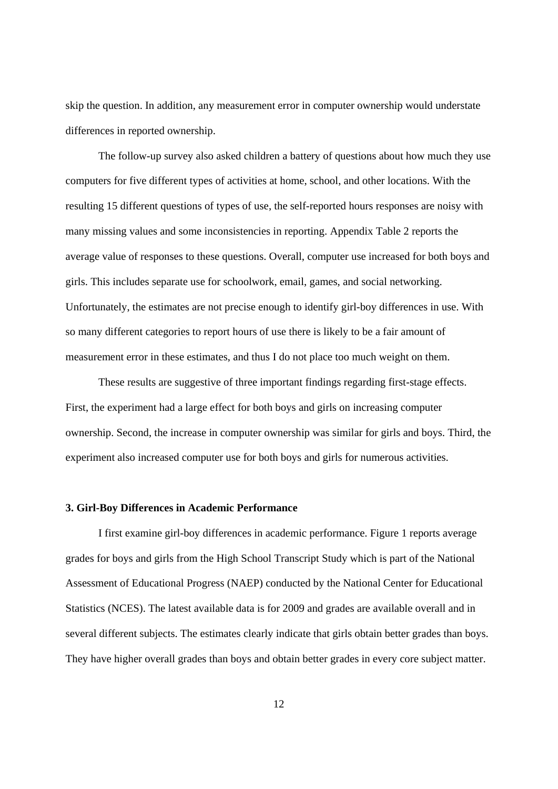skip the question. In addition, any measurement error in computer ownership would understate differences in reported ownership.

 The follow-up survey also asked children a battery of questions about how much they use computers for five different types of activities at home, school, and other locations. With the resulting 15 different questions of types of use, the self-reported hours responses are noisy with many missing values and some inconsistencies in reporting. Appendix Table 2 reports the average value of responses to these questions. Overall, computer use increased for both boys and girls. This includes separate use for schoolwork, email, games, and social networking. Unfortunately, the estimates are not precise enough to identify girl-boy differences in use. With so many different categories to report hours of use there is likely to be a fair amount of measurement error in these estimates, and thus I do not place too much weight on them.

 These results are suggestive of three important findings regarding first-stage effects. First, the experiment had a large effect for both boys and girls on increasing computer ownership. Second, the increase in computer ownership was similar for girls and boys. Third, the experiment also increased computer use for both boys and girls for numerous activities.

#### **3. Girl-Boy Differences in Academic Performance**

 I first examine girl-boy differences in academic performance. Figure 1 reports average grades for boys and girls from the High School Transcript Study which is part of the National Assessment of Educational Progress (NAEP) conducted by the National Center for Educational Statistics (NCES). The latest available data is for 2009 and grades are available overall and in several different subjects. The estimates clearly indicate that girls obtain better grades than boys. They have higher overall grades than boys and obtain better grades in every core subject matter.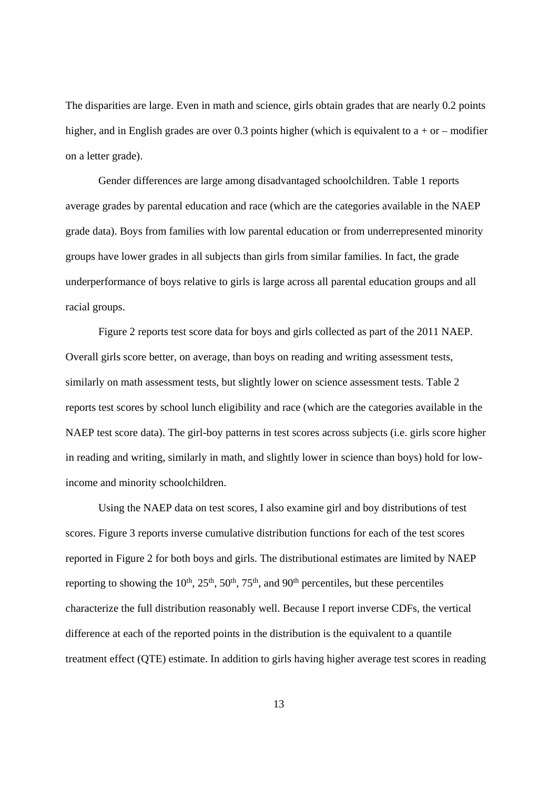The disparities are large. Even in math and science, girls obtain grades that are nearly 0.2 points higher, and in English grades are over 0.3 points higher (which is equivalent to  $a + or$  – modifier on a letter grade).

 Gender differences are large among disadvantaged schoolchildren. Table 1 reports average grades by parental education and race (which are the categories available in the NAEP grade data). Boys from families with low parental education or from underrepresented minority groups have lower grades in all subjects than girls from similar families. In fact, the grade underperformance of boys relative to girls is large across all parental education groups and all racial groups.

 Figure 2 reports test score data for boys and girls collected as part of the 2011 NAEP. Overall girls score better, on average, than boys on reading and writing assessment tests, similarly on math assessment tests, but slightly lower on science assessment tests. Table 2 reports test scores by school lunch eligibility and race (which are the categories available in the NAEP test score data). The girl-boy patterns in test scores across subjects (i.e. girls score higher in reading and writing, similarly in math, and slightly lower in science than boys) hold for lowincome and minority schoolchildren.

Using the NAEP data on test scores, I also examine girl and boy distributions of test scores. Figure 3 reports inverse cumulative distribution functions for each of the test scores reported in Figure 2 for both boys and girls. The distributional estimates are limited by NAEP reporting to showing the  $10^{th}$ ,  $25^{th}$ ,  $50^{th}$ ,  $75^{th}$ , and  $90^{th}$  percentiles, but these percentiles characterize the full distribution reasonably well. Because I report inverse CDFs, the vertical difference at each of the reported points in the distribution is the equivalent to a quantile treatment effect (QTE) estimate. In addition to girls having higher average test scores in reading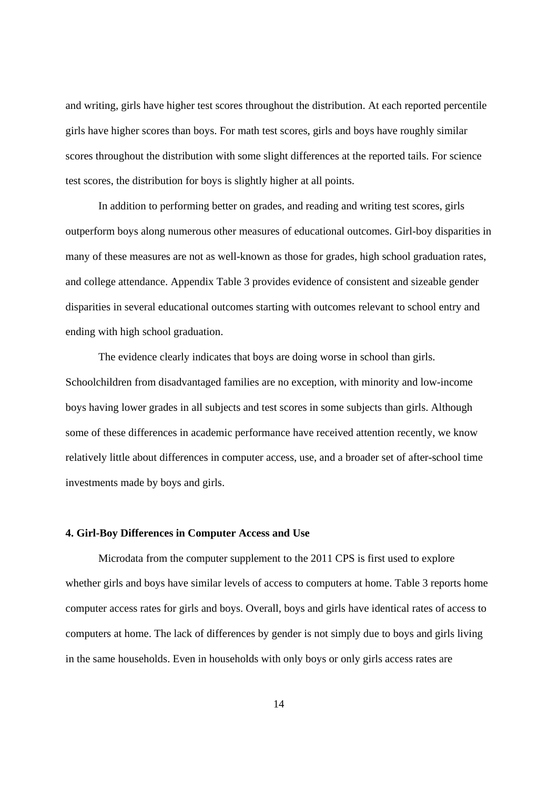and writing, girls have higher test scores throughout the distribution. At each reported percentile girls have higher scores than boys. For math test scores, girls and boys have roughly similar scores throughout the distribution with some slight differences at the reported tails. For science test scores, the distribution for boys is slightly higher at all points.

 In addition to performing better on grades, and reading and writing test scores, girls outperform boys along numerous other measures of educational outcomes. Girl-boy disparities in many of these measures are not as well-known as those for grades, high school graduation rates, and college attendance. Appendix Table 3 provides evidence of consistent and sizeable gender disparities in several educational outcomes starting with outcomes relevant to school entry and ending with high school graduation.

 The evidence clearly indicates that boys are doing worse in school than girls. Schoolchildren from disadvantaged families are no exception, with minority and low-income boys having lower grades in all subjects and test scores in some subjects than girls. Although some of these differences in academic performance have received attention recently, we know relatively little about differences in computer access, use, and a broader set of after-school time investments made by boys and girls.

### **4. Girl-Boy Differences in Computer Access and Use**

 Microdata from the computer supplement to the 2011 CPS is first used to explore whether girls and boys have similar levels of access to computers at home. Table 3 reports home computer access rates for girls and boys. Overall, boys and girls have identical rates of access to computers at home. The lack of differences by gender is not simply due to boys and girls living in the same households. Even in households with only boys or only girls access rates are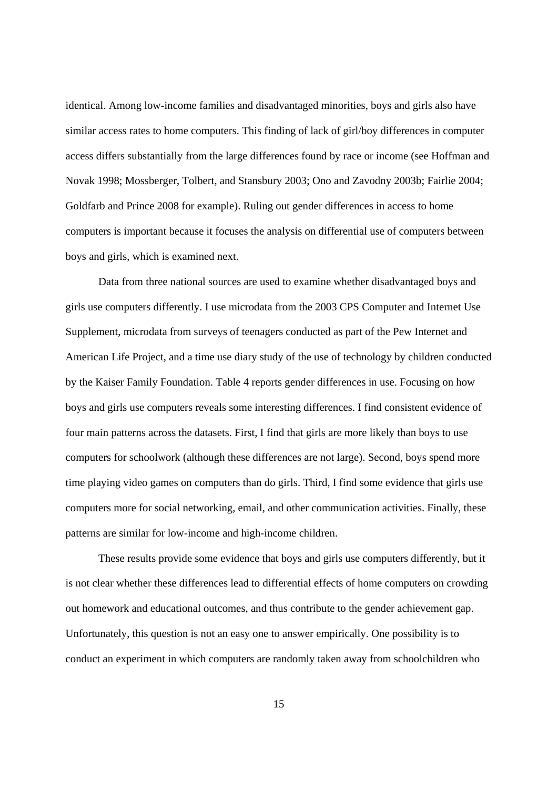identical. Among low-income families and disadvantaged minorities, boys and girls also have similar access rates to home computers. This finding of lack of girl/boy differences in computer access differs substantially from the large differences found by race or income (see Hoffman and Novak 1998; Mossberger, Tolbert, and Stansbury 2003; Ono and Zavodny 2003b; Fairlie 2004; Goldfarb and Prince 2008 for example). Ruling out gender differences in access to home computers is important because it focuses the analysis on differential use of computers between boys and girls, which is examined next.

 Data from three national sources are used to examine whether disadvantaged boys and girls use computers differently. I use microdata from the 2003 CPS Computer and Internet Use Supplement, microdata from surveys of teenagers conducted as part of the Pew Internet and American Life Project, and a time use diary study of the use of technology by children conducted by the Kaiser Family Foundation. Table 4 reports gender differences in use. Focusing on how boys and girls use computers reveals some interesting differences. I find consistent evidence of four main patterns across the datasets. First, I find that girls are more likely than boys to use computers for schoolwork (although these differences are not large). Second, boys spend more time playing video games on computers than do girls. Third, I find some evidence that girls use computers more for social networking, email, and other communication activities. Finally, these patterns are similar for low-income and high-income children.

 These results provide some evidence that boys and girls use computers differently, but it is not clear whether these differences lead to differential effects of home computers on crowding out homework and educational outcomes, and thus contribute to the gender achievement gap. Unfortunately, this question is not an easy one to answer empirically. One possibility is to conduct an experiment in which computers are randomly taken away from schoolchildren who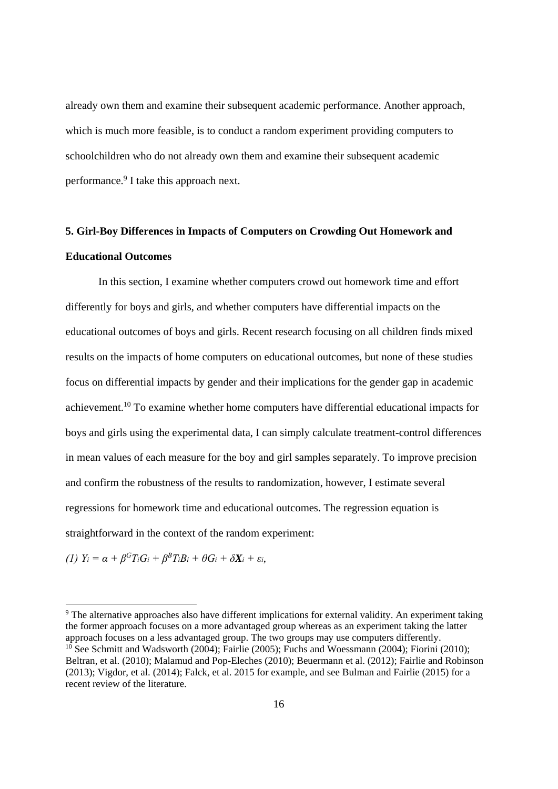already own them and examine their subsequent academic performance. Another approach, which is much more feasible, is to conduct a random experiment providing computers to schoolchildren who do not already own them and examine their subsequent academic performance.<sup>9</sup> I take this approach next.

# **5. Girl-Boy Differences in Impacts of Computers on Crowding Out Homework and Educational Outcomes**

 In this section, I examine whether computers crowd out homework time and effort differently for boys and girls, and whether computers have differential impacts on the educational outcomes of boys and girls. Recent research focusing on all children finds mixed results on the impacts of home computers on educational outcomes, but none of these studies focus on differential impacts by gender and their implications for the gender gap in academic achievement.10 To examine whether home computers have differential educational impacts for boys and girls using the experimental data, I can simply calculate treatment-control differences in mean values of each measure for the boy and girl samples separately. To improve precision and confirm the robustness of the results to randomization, however, I estimate several regressions for homework time and educational outcomes. The regression equation is straightforward in the context of the random experiment:

*(1)*  $Y_i = \alpha + \beta^G T_i G_i + \beta^B T_i B_i + \theta G_i + \delta X_i + \varepsilon_i$ 

<sup>&</sup>lt;sup>9</sup> The alternative approaches also have different implications for external validity. An experiment taking the former approach focuses on a more advantaged group whereas as an experiment taking the latter approach focuses on a less advantaged group. The two groups may use computers differently.

 $10$  See Schmitt and Wadsworth (2004); Fairlie (2005); Fuchs and Woessmann (2004); Fiorini (2010); Beltran, et al. (2010); Malamud and Pop-Eleches (2010); Beuermann et al. (2012); Fairlie and Robinson (2013); Vigdor, et al. (2014); Falck, et al. 2015 for example, and see Bulman and Fairlie (2015) for a recent review of the literature.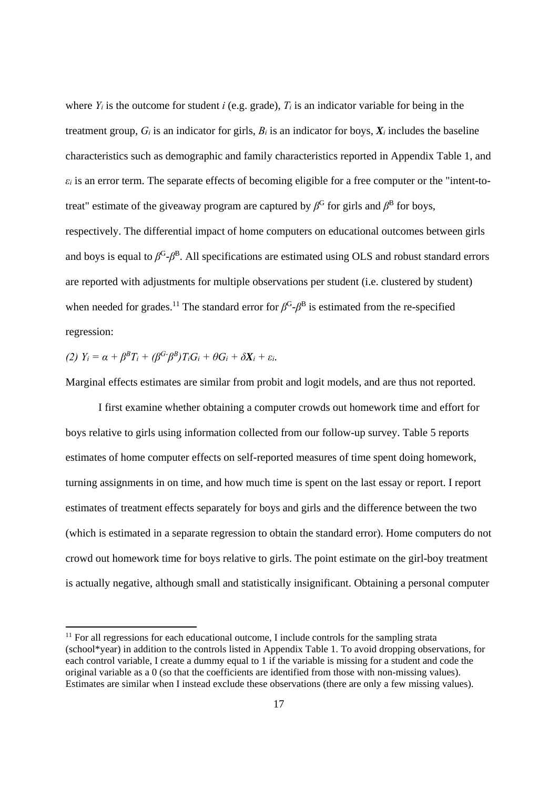where  $Y_i$  is the outcome for student *i* (e.g. grade),  $T_i$  is an indicator variable for being in the treatment group,  $G_i$  is an indicator for girls,  $B_i$  is an indicator for boys,  $X_i$  includes the baseline characteristics such as demographic and family characteristics reported in Appendix Table 1, and  $\varepsilon_i$  is an error term. The separate effects of becoming eligible for a free computer or the "intent-totreat" estimate of the giveaway program are captured by  $\beta^G$  for girls and  $\beta^B$  for boys, respectively. The differential impact of home computers on educational outcomes between girls and boys is equal to  $\beta^G - \beta^B$ . All specifications are estimated using OLS and robust standard errors are reported with adjustments for multiple observations per student (i.e. clustered by student) when needed for grades.<sup>11</sup> The standard error for  $\beta^G - \beta^B$  is estimated from the re-specified regression:

*(2) Yi = α + βBTi + (βG-βB)TiGi + θGi + δXi + εi*.

Marginal effects estimates are similar from probit and logit models, and are thus not reported.

 I first examine whether obtaining a computer crowds out homework time and effort for boys relative to girls using information collected from our follow-up survey. Table 5 reports estimates of home computer effects on self-reported measures of time spent doing homework, turning assignments in on time, and how much time is spent on the last essay or report. I report estimates of treatment effects separately for boys and girls and the difference between the two (which is estimated in a separate regression to obtain the standard error). Home computers do not crowd out homework time for boys relative to girls. The point estimate on the girl-boy treatment is actually negative, although small and statistically insignificant. Obtaining a personal computer

<sup>&</sup>lt;sup>11</sup> For all regressions for each educational outcome, I include controls for the sampling strata (school\*year) in addition to the controls listed in Appendix Table 1. To avoid dropping observations, for each control variable, I create a dummy equal to 1 if the variable is missing for a student and code the original variable as a 0 (so that the coefficients are identified from those with non-missing values). Estimates are similar when I instead exclude these observations (there are only a few missing values).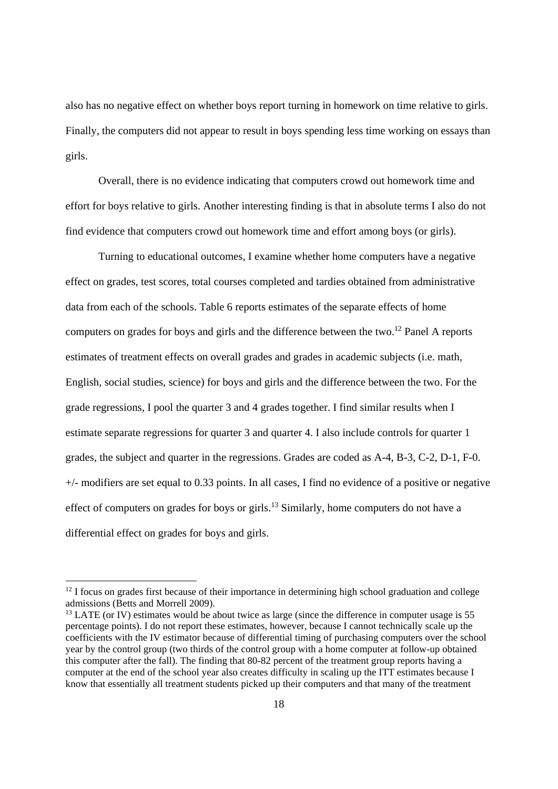also has no negative effect on whether boys report turning in homework on time relative to girls. Finally, the computers did not appear to result in boys spending less time working on essays than girls.

 Overall, there is no evidence indicating that computers crowd out homework time and effort for boys relative to girls. Another interesting finding is that in absolute terms I also do not find evidence that computers crowd out homework time and effort among boys (or girls).

 Turning to educational outcomes, I examine whether home computers have a negative effect on grades, test scores, total courses completed and tardies obtained from administrative data from each of the schools. Table 6 reports estimates of the separate effects of home computers on grades for boys and girls and the difference between the two.12 Panel A reports estimates of treatment effects on overall grades and grades in academic subjects (i.e. math, English, social studies, science) for boys and girls and the difference between the two. For the grade regressions, I pool the quarter 3 and 4 grades together. I find similar results when I estimate separate regressions for quarter 3 and quarter 4. I also include controls for quarter 1 grades, the subject and quarter in the regressions. Grades are coded as A-4, B-3, C-2, D-1, F-0. +/- modifiers are set equal to 0.33 points. In all cases, I find no evidence of a positive or negative effect of computers on grades for boys or girls.<sup>13</sup> Similarly, home computers do not have a differential effect on grades for boys and girls.

 $12$  I focus on grades first because of their importance in determining high school graduation and college admissions (Betts and Morrell 2009).

 $13$  LATE (or IV) estimates would be about twice as large (since the difference in computer usage is 55 percentage points). I do not report these estimates, however, because I cannot technically scale up the coefficients with the IV estimator because of differential timing of purchasing computers over the school year by the control group (two thirds of the control group with a home computer at follow-up obtained this computer after the fall). The finding that 80-82 percent of the treatment group reports having a computer at the end of the school year also creates difficulty in scaling up the ITT estimates because I know that essentially all treatment students picked up their computers and that many of the treatment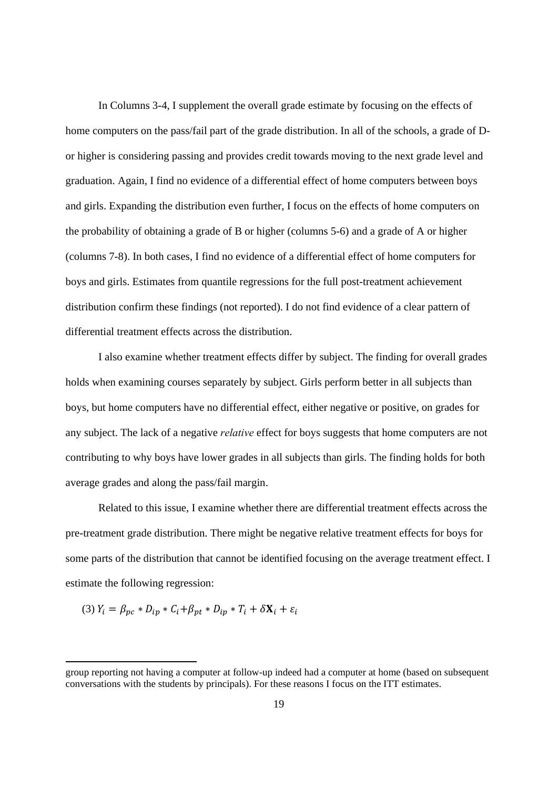In Columns 3-4, I supplement the overall grade estimate by focusing on the effects of home computers on the pass/fail part of the grade distribution. In all of the schools, a grade of Dor higher is considering passing and provides credit towards moving to the next grade level and graduation. Again, I find no evidence of a differential effect of home computers between boys and girls. Expanding the distribution even further, I focus on the effects of home computers on the probability of obtaining a grade of B or higher (columns 5-6) and a grade of A or higher (columns 7-8). In both cases, I find no evidence of a differential effect of home computers for boys and girls. Estimates from quantile regressions for the full post-treatment achievement distribution confirm these findings (not reported). I do not find evidence of a clear pattern of differential treatment effects across the distribution.

I also examine whether treatment effects differ by subject. The finding for overall grades holds when examining courses separately by subject. Girls perform better in all subjects than boys, but home computers have no differential effect, either negative or positive, on grades for any subject. The lack of a negative *relative* effect for boys suggests that home computers are not contributing to why boys have lower grades in all subjects than girls. The finding holds for both average grades and along the pass/fail margin.

Related to this issue, I examine whether there are differential treatment effects across the pre-treatment grade distribution. There might be negative relative treatment effects for boys for some parts of the distribution that cannot be identified focusing on the average treatment effect. I estimate the following regression:

$$
(3) Y_i = \beta_{pc} * D_{ip} * C_i + \beta_{pt} * D_{ip} * T_i + \delta \mathbf{X}_i + \varepsilon_i
$$

group reporting not having a computer at follow-up indeed had a computer at home (based on subsequent conversations with the students by principals). For these reasons I focus on the ITT estimates.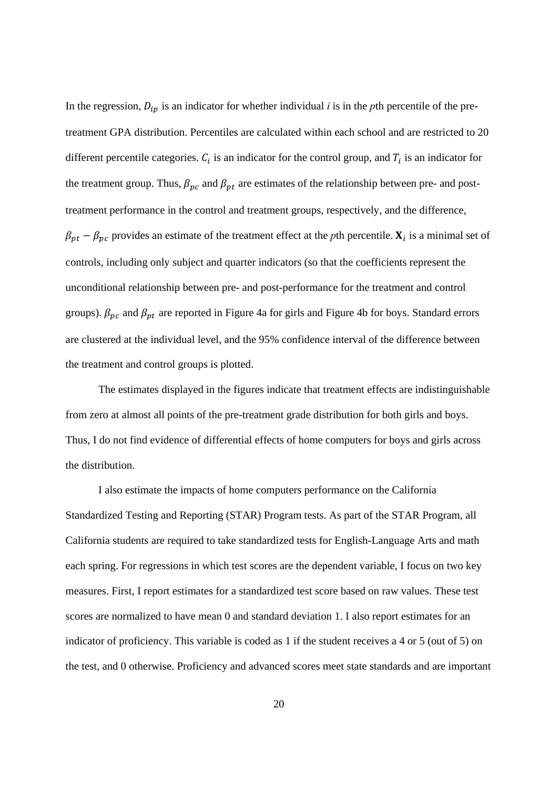In the regression,  $D_{ip}$  is an indicator for whether individual *i* is in the *p*th percentile of the pretreatment GPA distribution. Percentiles are calculated within each school and are restricted to 20 different percentile categories.  $C_i$  is an indicator for the control group, and  $T_i$  is an indicator for the treatment group. Thus,  $\beta_{pc}$  and  $\beta_{pt}$  are estimates of the relationship between pre- and posttreatment performance in the control and treatment groups, respectively, and the difference,  $\beta_{pt} - \beta_{pc}$  provides an estimate of the treatment effect at the *p*th percentile.  $\mathbf{X}_i$  is a minimal set of controls, including only subject and quarter indicators (so that the coefficients represent the unconditional relationship between pre- and post-performance for the treatment and control groups).  $\beta_{pc}$  and  $\beta_{pt}$  are reported in Figure 4a for girls and Figure 4b for boys. Standard errors are clustered at the individual level, and the 95% confidence interval of the difference between the treatment and control groups is plotted.

 The estimates displayed in the figures indicate that treatment effects are indistinguishable from zero at almost all points of the pre-treatment grade distribution for both girls and boys. Thus, I do not find evidence of differential effects of home computers for boys and girls across the distribution.

 I also estimate the impacts of home computers performance on the California Standardized Testing and Reporting (STAR) Program tests. As part of the STAR Program, all California students are required to take standardized tests for English-Language Arts and math each spring. For regressions in which test scores are the dependent variable, I focus on two key measures. First, I report estimates for a standardized test score based on raw values. These test scores are normalized to have mean 0 and standard deviation 1. I also report estimates for an indicator of proficiency. This variable is coded as 1 if the student receives a 4 or 5 (out of 5) on the test, and 0 otherwise. Proficiency and advanced scores meet state standards and are important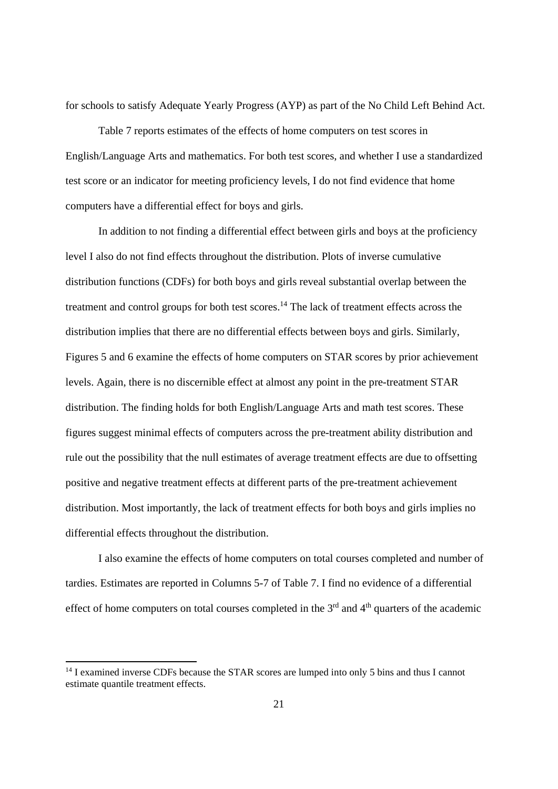for schools to satisfy Adequate Yearly Progress (AYP) as part of the No Child Left Behind Act.

 Table 7 reports estimates of the effects of home computers on test scores in English/Language Arts and mathematics. For both test scores, and whether I use a standardized test score or an indicator for meeting proficiency levels, I do not find evidence that home computers have a differential effect for boys and girls.

 In addition to not finding a differential effect between girls and boys at the proficiency level I also do not find effects throughout the distribution. Plots of inverse cumulative distribution functions (CDFs) for both boys and girls reveal substantial overlap between the treatment and control groups for both test scores.<sup>14</sup> The lack of treatment effects across the distribution implies that there are no differential effects between boys and girls. Similarly, Figures 5 and 6 examine the effects of home computers on STAR scores by prior achievement levels. Again, there is no discernible effect at almost any point in the pre-treatment STAR distribution. The finding holds for both English/Language Arts and math test scores. These figures suggest minimal effects of computers across the pre-treatment ability distribution and rule out the possibility that the null estimates of average treatment effects are due to offsetting positive and negative treatment effects at different parts of the pre-treatment achievement distribution. Most importantly, the lack of treatment effects for both boys and girls implies no differential effects throughout the distribution.

 I also examine the effects of home computers on total courses completed and number of tardies. Estimates are reported in Columns 5-7 of Table 7. I find no evidence of a differential effect of home computers on total courses completed in the 3<sup>rd</sup> and 4<sup>th</sup> quarters of the academic

<sup>&</sup>lt;sup>14</sup> I examined inverse CDFs because the STAR scores are lumped into only 5 bins and thus I cannot estimate quantile treatment effects.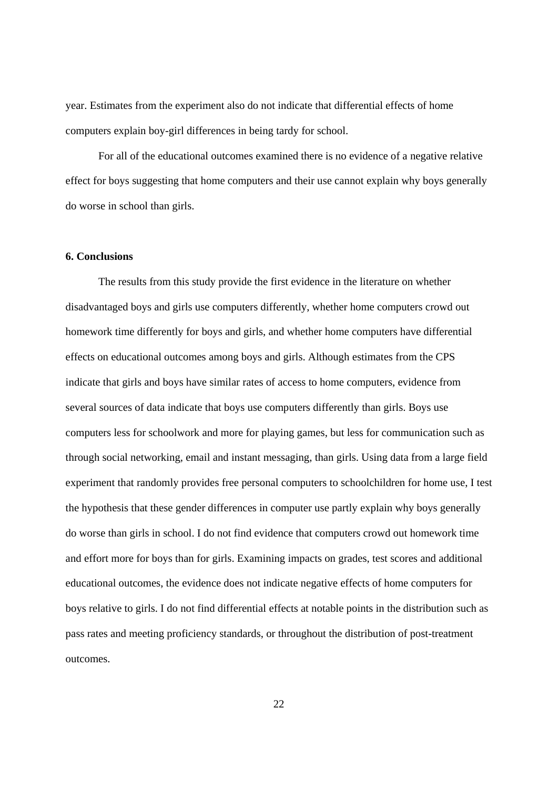year. Estimates from the experiment also do not indicate that differential effects of home computers explain boy-girl differences in being tardy for school.

 For all of the educational outcomes examined there is no evidence of a negative relative effect for boys suggesting that home computers and their use cannot explain why boys generally do worse in school than girls.

# **6. Conclusions**

 The results from this study provide the first evidence in the literature on whether disadvantaged boys and girls use computers differently, whether home computers crowd out homework time differently for boys and girls, and whether home computers have differential effects on educational outcomes among boys and girls. Although estimates from the CPS indicate that girls and boys have similar rates of access to home computers, evidence from several sources of data indicate that boys use computers differently than girls. Boys use computers less for schoolwork and more for playing games, but less for communication such as through social networking, email and instant messaging, than girls. Using data from a large field experiment that randomly provides free personal computers to schoolchildren for home use, I test the hypothesis that these gender differences in computer use partly explain why boys generally do worse than girls in school. I do not find evidence that computers crowd out homework time and effort more for boys than for girls. Examining impacts on grades, test scores and additional educational outcomes, the evidence does not indicate negative effects of home computers for boys relative to girls. I do not find differential effects at notable points in the distribution such as pass rates and meeting proficiency standards, or throughout the distribution of post-treatment outcomes.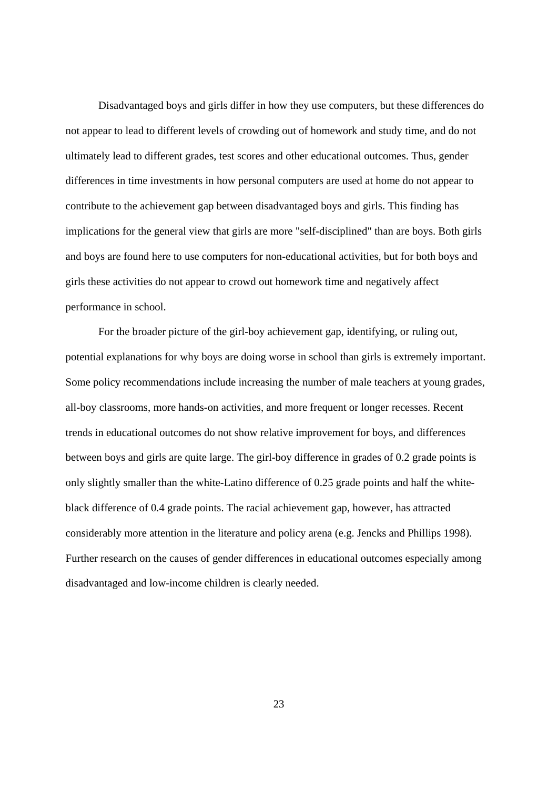Disadvantaged boys and girls differ in how they use computers, but these differences do not appear to lead to different levels of crowding out of homework and study time, and do not ultimately lead to different grades, test scores and other educational outcomes. Thus, gender differences in time investments in how personal computers are used at home do not appear to contribute to the achievement gap between disadvantaged boys and girls. This finding has implications for the general view that girls are more "self-disciplined" than are boys. Both girls and boys are found here to use computers for non-educational activities, but for both boys and girls these activities do not appear to crowd out homework time and negatively affect performance in school.

 For the broader picture of the girl-boy achievement gap, identifying, or ruling out, potential explanations for why boys are doing worse in school than girls is extremely important. Some policy recommendations include increasing the number of male teachers at young grades, all-boy classrooms, more hands-on activities, and more frequent or longer recesses. Recent trends in educational outcomes do not show relative improvement for boys, and differences between boys and girls are quite large. The girl-boy difference in grades of 0.2 grade points is only slightly smaller than the white-Latino difference of 0.25 grade points and half the whiteblack difference of 0.4 grade points. The racial achievement gap, however, has attracted considerably more attention in the literature and policy arena (e.g. Jencks and Phillips 1998). Further research on the causes of gender differences in educational outcomes especially among disadvantaged and low-income children is clearly needed.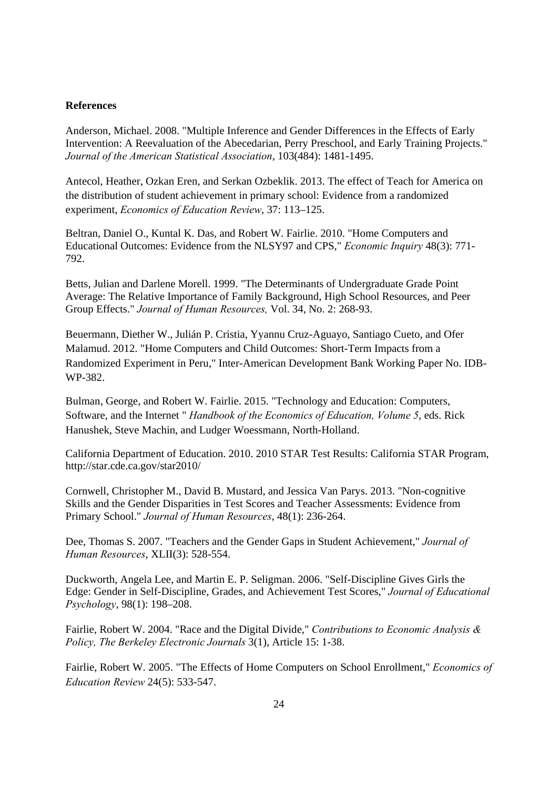#### **References**

Anderson, Michael. 2008. "Multiple Inference and Gender Differences in the Effects of Early Intervention: A Reevaluation of the Abecedarian, Perry Preschool, and Early Training Projects." *Journal of the American Statistical Association*, 103(484): 1481-1495.

Antecol, Heather, Ozkan Eren, and Serkan Ozbeklik. 2013. The effect of Teach for America on the distribution of student achievement in primary school: Evidence from a randomized experiment, *Economics of Education Review*, 37: 113–125.

Beltran, Daniel O., Kuntal K. Das, and Robert W. Fairlie. 2010. "Home Computers and Educational Outcomes: Evidence from the NLSY97 and CPS," *Economic Inquiry* 48(3): 771- 792.

Betts, Julian and Darlene Morell. 1999. "The Determinants of Undergraduate Grade Point Average: The Relative Importance of Family Background, High School Resources, and Peer Group Effects." *Journal of Human Resources,* Vol. 34, No. 2: 268-93.

Beuermann, Diether W., Julián P. Cristia, Yyannu Cruz-Aguayo, Santiago Cueto, and Ofer Malamud. 2012. "Home Computers and Child Outcomes: Short-Term Impacts from a Randomized Experiment in Peru," Inter-American Development Bank Working Paper No. IDB-WP-382.

Bulman, George, and Robert W. Fairlie. 2015. "Technology and Education: Computers, Software, and the Internet " *Handbook of the Economics of Education, Volume 5*, eds. Rick Hanushek, Steve Machin, and Ludger Woessmann, North-Holland.

California Department of Education. 2010. 2010 STAR Test Results: California STAR Program, http://star.cde.ca.gov/star2010/

Cornwell, Christopher M., David B. Mustard, and Jessica Van Parys. 2013. "Non-cognitive Skills and the Gender Disparities in Test Scores and Teacher Assessments: Evidence from Primary School." *Journal of Human Resources*, 48(1): 236-264.

Dee, Thomas S. 2007. "Teachers and the Gender Gaps in Student Achievement," *Journal of Human Resources*, XLII(3): 528-554.

Duckworth, Angela Lee, and Martin E. P. Seligman. 2006. "Self-Discipline Gives Girls the Edge: Gender in Self-Discipline, Grades, and Achievement Test Scores," *Journal of Educational Psychology*, 98(1): 198–208.

Fairlie, Robert W. 2004. "Race and the Digital Divide," *Contributions to Economic Analysis & Policy, The Berkeley Electronic Journals* 3(1), Article 15: 1-38.

Fairlie, Robert W. 2005. "The Effects of Home Computers on School Enrollment," *Economics of Education Review* 24(5): 533-547.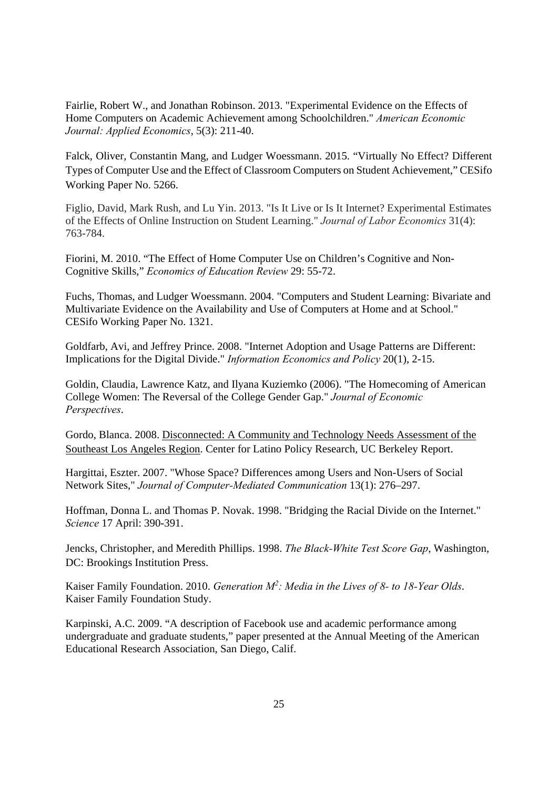Fairlie, Robert W., and Jonathan Robinson. 2013. "Experimental Evidence on the Effects of Home Computers on Academic Achievement among Schoolchildren." *American Economic Journal: Applied Economics*, 5(3): 211-40.

Falck, Oliver, Constantin Mang, and Ludger Woessmann. 2015. "Virtually No Effect? Different Types of Computer Use and the Effect of Classroom Computers on Student Achievement," CESifo Working Paper No. 5266.

Figlio, David, Mark Rush, and Lu Yin. 2013. "Is It Live or Is It Internet? Experimental Estimates of the Effects of Online Instruction on Student Learning." *Journal of Labor Economics* 31(4): 763-784.

Fiorini, M. 2010. "The Effect of Home Computer Use on Children's Cognitive and Non-Cognitive Skills," *Economics of Education Review* 29: 55-72.

Fuchs, Thomas, and Ludger Woessmann. 2004. "Computers and Student Learning: Bivariate and Multivariate Evidence on the Availability and Use of Computers at Home and at School." CESifo Working Paper No. 1321.

Goldfarb, Avi, and Jeffrey Prince. 2008. "Internet Adoption and Usage Patterns are Different: Implications for the Digital Divide." *Information Economics and Policy* 20(1), 2-15.

Goldin, Claudia, Lawrence Katz, and Ilyana Kuziemko (2006). "The Homecoming of American College Women: The Reversal of the College Gender Gap." *Journal of Economic Perspectives*.

Gordo, Blanca. 2008. Disconnected: A Community and Technology Needs Assessment of the Southeast Los Angeles Region. Center for Latino Policy Research, UC Berkeley Report.

Hargittai, Eszter. 2007. "Whose Space? Differences among Users and Non-Users of Social Network Sites," *Journal of Computer-Mediated Communication* 13(1): 276–297.

Hoffman, Donna L. and Thomas P. Novak. 1998. "Bridging the Racial Divide on the Internet." *Science* 17 April: 390-391.

Jencks, Christopher, and Meredith Phillips. 1998. *The Black-White Test Score Gap*, Washington, DC: Brookings Institution Press.

Kaiser Family Foundation. 2010. *Generation M<sup>2</sup> : Media in the Lives of 8- to 18-Year Olds*. Kaiser Family Foundation Study.

Karpinski, A.C. 2009. "A description of Facebook use and academic performance among undergraduate and graduate students," paper presented at the Annual Meeting of the American Educational Research Association, San Diego, Calif.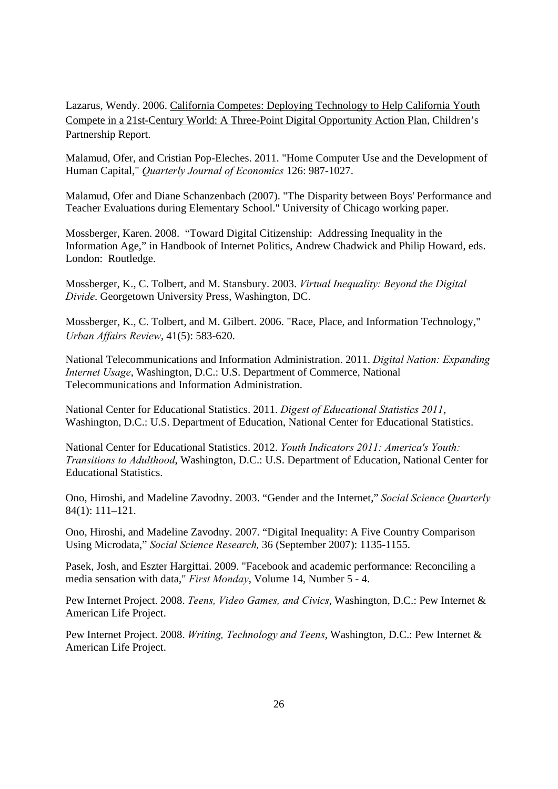Lazarus, Wendy. 2006. California Competes: Deploying Technology to Help California Youth Compete in a 21st-Century World: A Three-Point Digital Opportunity Action Plan, Children's Partnership Report.

Malamud, Ofer, and Cristian Pop-Eleches. 2011. "Home Computer Use and the Development of Human Capital," *Quarterly Journal of Economics* 126: 987-1027.

Malamud, Ofer and Diane Schanzenbach (2007). "The Disparity between Boys' Performance and Teacher Evaluations during Elementary School." University of Chicago working paper.

Mossberger, Karen. 2008. "Toward Digital Citizenship: Addressing Inequality in the Information Age," in Handbook of Internet Politics, Andrew Chadwick and Philip Howard, eds. London: Routledge.

Mossberger, K., C. Tolbert, and M. Stansbury. 2003. *Virtual Inequality: Beyond the Digital Divide*. Georgetown University Press, Washington, DC.

Mossberger, K., C. Tolbert, and M. Gilbert. 2006. "Race, Place, and Information Technology," *Urban Affairs Review*, 41(5): 583-620.

National Telecommunications and Information Administration. 2011. *Digital Nation: Expanding Internet Usage*, Washington, D.C.: U.S. Department of Commerce, National Telecommunications and Information Administration.

National Center for Educational Statistics. 2011. *Digest of Educational Statistics 2011*, Washington, D.C.: U.S. Department of Education, National Center for Educational Statistics.

National Center for Educational Statistics. 2012. *Youth Indicators 2011: America's Youth: Transitions to Adulthood*, Washington, D.C.: U.S. Department of Education, National Center for Educational Statistics.

Ono, Hiroshi, and Madeline Zavodny. 2003. "Gender and the Internet," *Social Science Quarterly* 84(1): 111–121.

Ono, Hiroshi, and Madeline Zavodny. 2007. "Digital Inequality: A Five Country Comparison Using Microdata," *Social Science Research,* 36 (September 2007): 1135-1155.

Pasek, Josh, and Eszter Hargittai. 2009. "Facebook and academic performance: Reconciling a media sensation with data," *First Monday*, Volume 14, Number 5 - 4.

Pew Internet Project. 2008. *Teens, Video Games, and Civics*, Washington, D.C.: Pew Internet & American Life Project.

Pew Internet Project. 2008. *Writing, Technology and Teens*, Washington, D.C.: Pew Internet & American Life Project.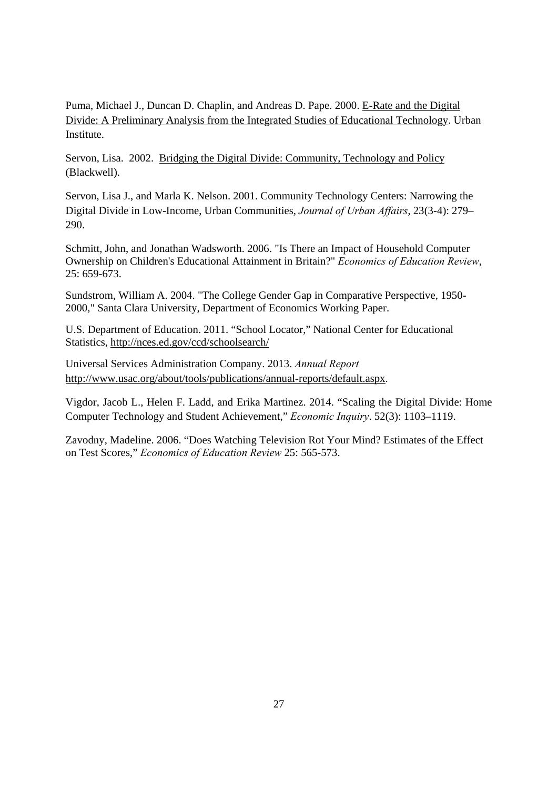Puma, Michael J., Duncan D. Chaplin, and Andreas D. Pape. 2000. E-Rate and the Digital Divide: A Preliminary Analysis from the Integrated Studies of Educational Technology. Urban Institute.

Servon, Lisa. 2002.Bridging the Digital Divide: Community, Technology and Policy (Blackwell).

Servon, Lisa J., and Marla K. Nelson. 2001. Community Technology Centers: Narrowing the Digital Divide in Low-Income, Urban Communities, *Journal of Urban Affairs*, 23(3-4): 279– 290.

Schmitt, John, and Jonathan Wadsworth. 2006. "Is There an Impact of Household Computer Ownership on Children's Educational Attainment in Britain?" *Economics of Education Review*, 25: 659-673.

Sundstrom, William A. 2004. "The College Gender Gap in Comparative Perspective, 1950- 2000," Santa Clara University, Department of Economics Working Paper.

U.S. Department of Education. 2011. "School Locator," National Center for Educational Statistics, http://nces.ed.gov/ccd/schoolsearch/

Universal Services Administration Company. 2013. *Annual Report* http://www.usac.org/about/tools/publications/annual-reports/default.aspx.

Vigdor, Jacob L., Helen F. Ladd, and Erika Martinez. 2014. "Scaling the Digital Divide: Home Computer Technology and Student Achievement," *Economic Inquiry*. 52(3): 1103–1119.

Zavodny, Madeline. 2006. "Does Watching Television Rot Your Mind? Estimates of the Effect on Test Scores," *Economics of Education Review* 25: 565-573.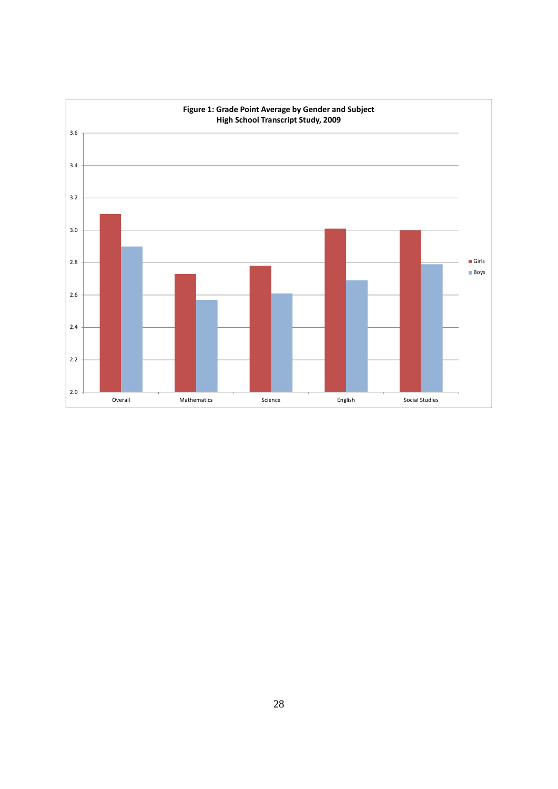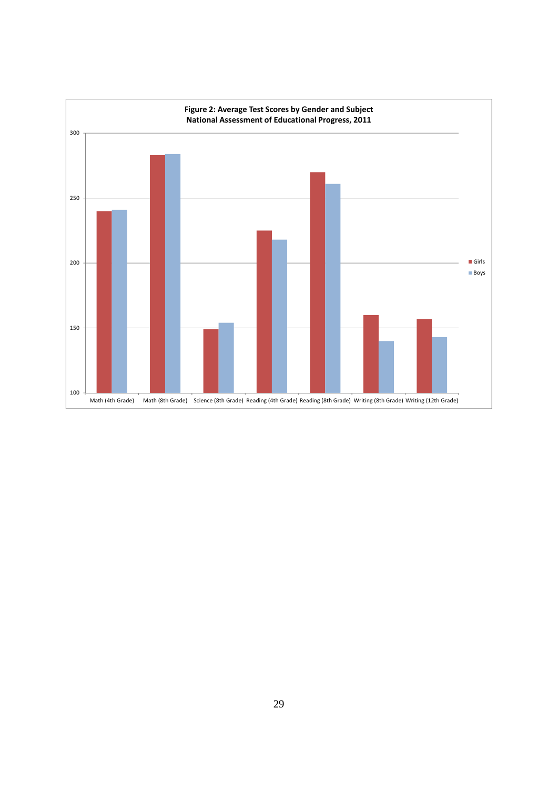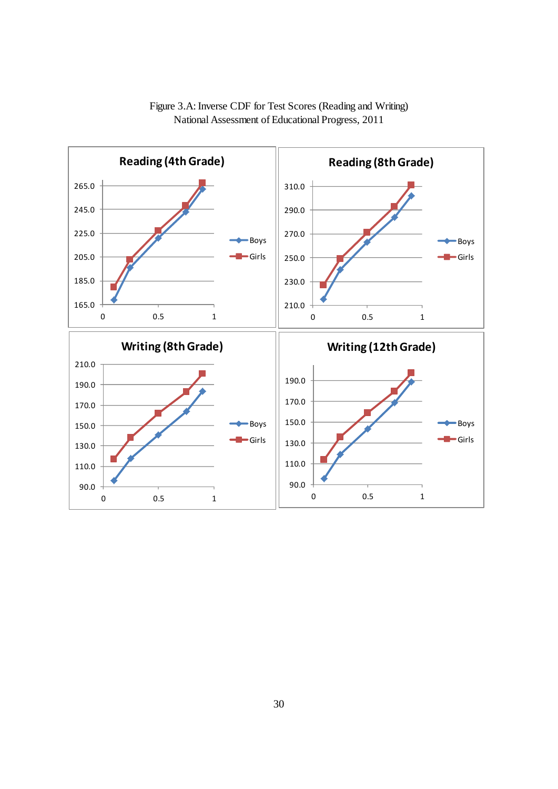

Figure 3.A: Inverse CDF for Test Scores (Reading and Writing) National Assessment of Educational Progress, 2011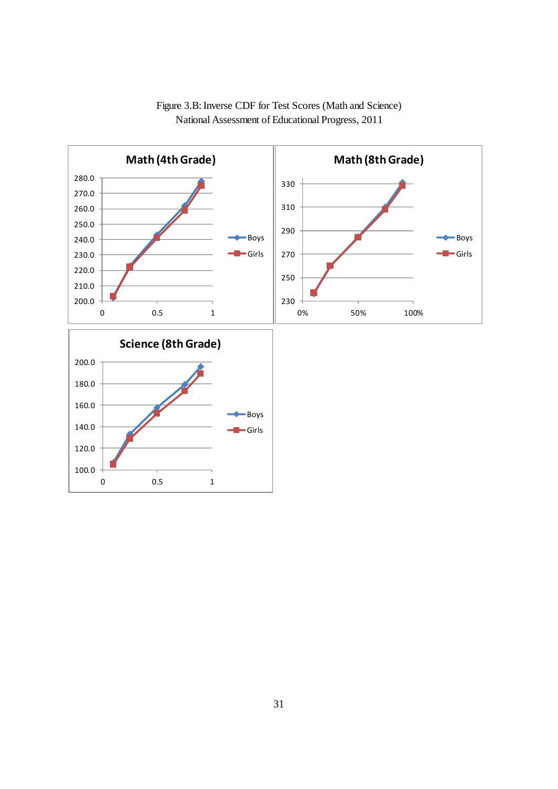

Figure 3.B: Inverse CDF for Test Scores (Math and Science) National Assessment of Educational Progress, 2011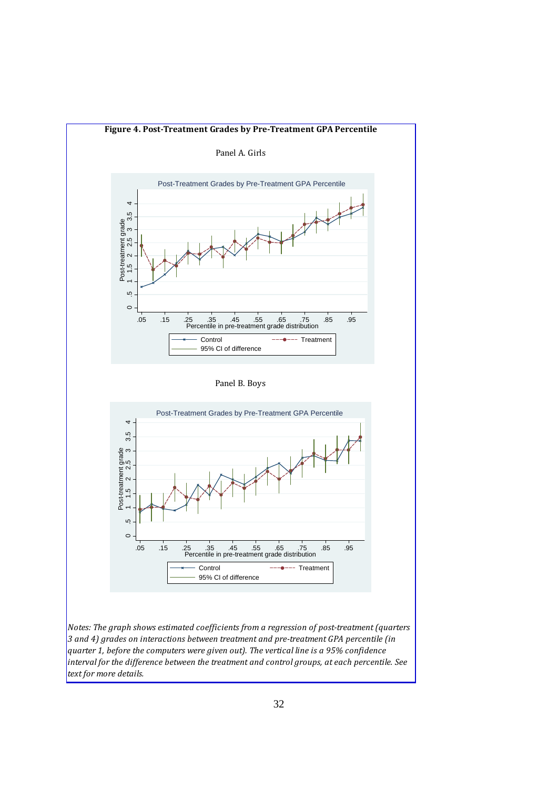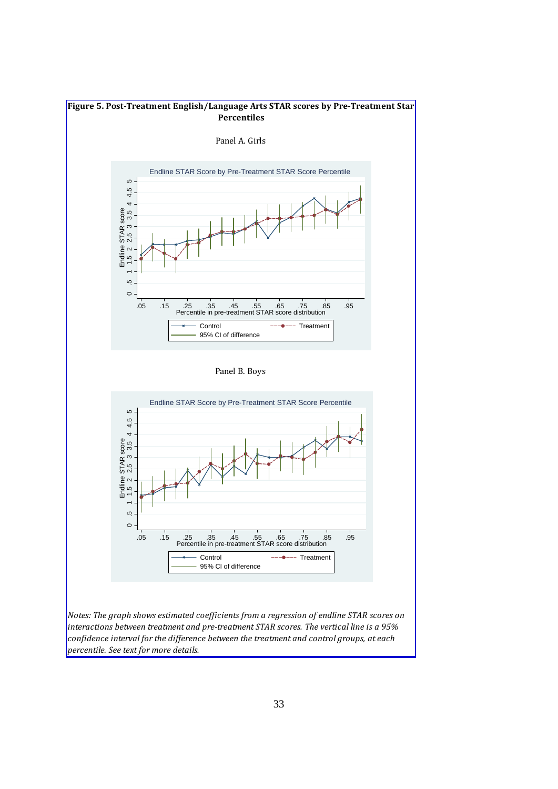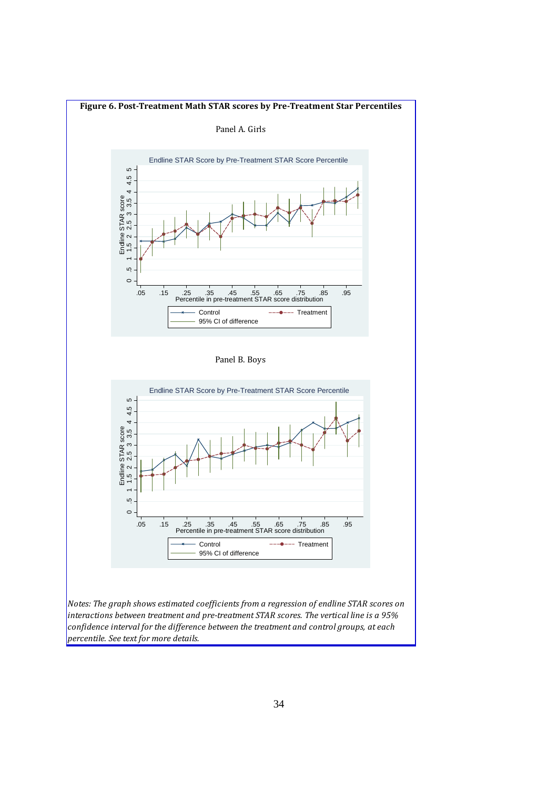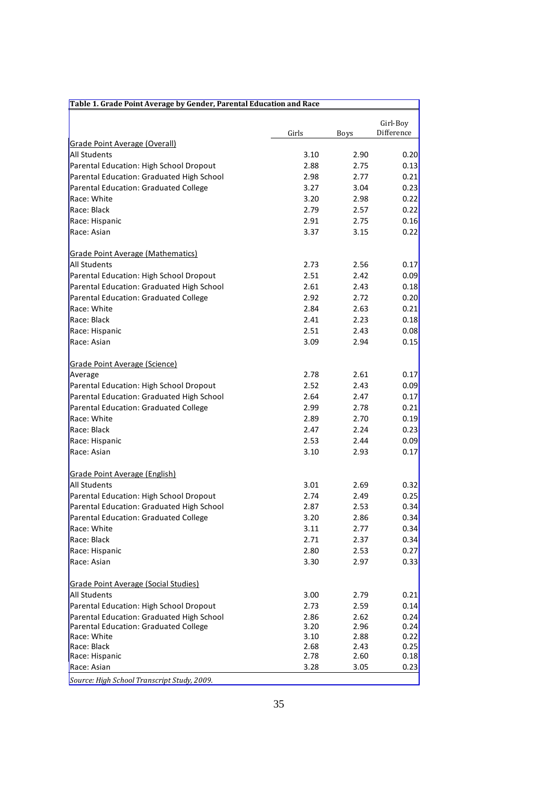| Table 1. Grade Point Average by Gender, Parental Education and Race |              |              |                        |
|---------------------------------------------------------------------|--------------|--------------|------------------------|
|                                                                     |              |              |                        |
|                                                                     | Girls        | <b>Boys</b>  | Girl-Boy<br>Difference |
| Grade Point Average (Overall)                                       |              |              |                        |
| <b>All Students</b>                                                 | 3.10         | 2.90         | 0.20                   |
| Parental Education: High School Dropout                             | 2.88         | 2.75         | 0.13                   |
| Parental Education: Graduated High School                           | 2.98         | 2.77         | 0.21                   |
| Parental Education: Graduated College                               | 3.27         | 3.04         | 0.23                   |
| Race: White                                                         | 3.20         | 2.98         | 0.22                   |
| Race: Black                                                         | 2.79         | 2.57         | 0.22                   |
| Race: Hispanic                                                      | 2.91         | 2.75         | 0.16                   |
| Race: Asian                                                         | 3.37         | 3.15         | 0.22                   |
| <b>Grade Point Average (Mathematics)</b>                            |              |              |                        |
| <b>All Students</b>                                                 | 2.73         | 2.56         | 0.17                   |
| Parental Education: High School Dropout                             | 2.51         | 2.42         | 0.09                   |
| Parental Education: Graduated High School                           | 2.61         | 2.43         | 0.18                   |
| Parental Education: Graduated College                               | 2.92         | 2.72         | 0.20                   |
| Race: White                                                         | 2.84         | 2.63         | 0.21                   |
| Race: Black                                                         | 2.41         | 2.23         | 0.18                   |
| Race: Hispanic                                                      | 2.51         | 2.43         | 0.08                   |
| Race: Asian                                                         | 3.09         | 2.94         | 0.15                   |
| Grade Point Average (Science)                                       |              |              |                        |
| Average                                                             | 2.78         | 2.61         | 0.17                   |
| Parental Education: High School Dropout                             | 2.52         | 2.43         | 0.09                   |
| Parental Education: Graduated High School                           | 2.64         | 2.47         | 0.17                   |
| Parental Education: Graduated College                               | 2.99         | 2.78         | 0.21                   |
| Race: White                                                         | 2.89         | 2.70         | 0.19                   |
| Race: Black                                                         | 2.47         | 2.24         | 0.23                   |
| Race: Hispanic                                                      | 2.53         | 2.44         | 0.09                   |
| Race: Asian                                                         | 3.10         | 2.93         | 0.17                   |
| Grade Point Average (English)                                       |              |              |                        |
| <b>All Students</b>                                                 | 3.01         | 2.69         | 0.32                   |
| Parental Education: High School Dropout                             | 2.74         | 2.49         | 0.25                   |
| Parental Education: Graduated High School                           | 2.87         | 2.53         | 0.34                   |
| Parental Education: Graduated College                               | 3.20         | 2.86         | 0.34                   |
| Race: White                                                         | 3.11         | 2.77         | 0.34                   |
| Race: Black                                                         | 2.71         | 2.37         | 0.34                   |
| Race: Hispanic                                                      | 2.80         | 2.53         | 0.27                   |
| Race: Asian                                                         | 3.30         | 2.97         | 0.33                   |
| Grade Point Average (Social Studies)                                |              |              |                        |
| <b>All Students</b>                                                 | 3.00         | 2.79         | 0.21                   |
| Parental Education: High School Dropout                             | 2.73         | 2.59         | 0.14                   |
| Parental Education: Graduated High School                           | 2.86         | 2.62         | 0.24                   |
| Parental Education: Graduated College<br>Race: White                | 3.20         | 2.96         | 0.24                   |
| Race: Black                                                         | 3.10<br>2.68 | 2.88<br>2.43 | 0.22<br>0.25           |
| Race: Hispanic                                                      | 2.78         | 2.60         | 0.18                   |
| Race: Asian                                                         | 3.28         | 3.05         | 0.23                   |
| Source: High School Transcript Study, 2009.                         |              |              |                        |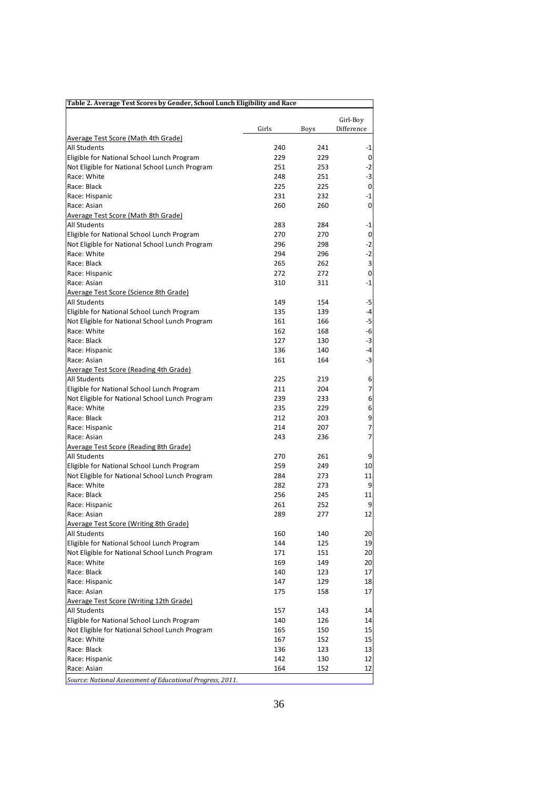| Table 2. Average Test Scores by Gender, School Lunch Eligibility and Race |       |             |                        |
|---------------------------------------------------------------------------|-------|-------------|------------------------|
|                                                                           |       |             |                        |
|                                                                           | Girls | <b>Boys</b> | Girl-Boy<br>Difference |
| <u>Average Test Score (Math 4th Grade)</u>                                |       |             |                        |
| All Students                                                              | 240   | 241         | $-1$                   |
| Eligible for National School Lunch Program                                | 229   | 229         | $\overline{0}$         |
| Not Eligible for National School Lunch Program                            | 251   | 253         | $-2$                   |
| Race: White                                                               | 248   | 251         | $-3$                   |
| Race: Black                                                               | 225   | 225         | $\overline{0}$         |
| Race: Hispanic                                                            | 231   | 232         | $-1$                   |
| Race: Asian                                                               | 260   | 260         | $\overline{0}$         |
| <u>Average Test Score (Math 8th Grade)</u>                                |       |             |                        |
| All Students                                                              | 283   | 284         | $-1$                   |
| Eligible for National School Lunch Program                                | 270   | 270         | $\overline{0}$         |
| Not Eligible for National School Lunch Program                            | 296   | 298         | $-2$                   |
| Race: White                                                               | 294   | 296         | $-2$                   |
| Race: Black                                                               | 265   | 262         | $\overline{3}$         |
| Race: Hispanic                                                            | 272   | 272         | $\overline{0}$         |
| Race: Asian                                                               | 310   | 311         | $-1$                   |
| <u>Average Test Score (Science 8th Grade)</u>                             |       |             |                        |
| All Students                                                              | 149   | 154         | $-5$                   |
| Eligible for National School Lunch Program                                | 135   | 139         | $-4$                   |
| Not Eligible for National School Lunch Program                            | 161   | 166         | $-5$                   |
| Race: White                                                               | 162   | 168         | $-6$                   |
| Race: Black                                                               | 127   | 130         | $-3$                   |
| Race: Hispanic                                                            | 136   | 140         | $-4$                   |
| Race: Asian                                                               | 161   | 164         | $-3$                   |
| <b>Average Test Score (Reading 4th Grade)</b>                             |       |             |                        |
| All Students                                                              | 225   | 219         | 6                      |
| Eligible for National School Lunch Program                                | 211   | 204         | $\overline{7}$         |
| Not Eligible for National School Lunch Program                            | 239   | 233         | $6 \overline{}$        |
| Race: White                                                               | 235   | 229         | $6 \overline{}$        |
| Race: Black                                                               | 212   | 203         | $\overline{9}$         |
| Race: Hispanic                                                            | 214   | 207         | 7                      |
| Race: Asian                                                               | 243   | 236         | 7                      |
| <u>Average Test Score (Reading 8th Grade)</u>                             |       |             |                        |
| All Students                                                              | 270   | 261         | 9                      |
| Eligible for National School Lunch Program                                | 259   | 249         | 10 <sub>l</sub>        |
| Not Eligible for National School Lunch Program                            | 284   | 273         | 11                     |
| Race: White                                                               | 282   | 273         | $\overline{9}$         |
| Race: Black                                                               | 256   | 245         | 11                     |
| Race: Hispanic                                                            | 261   | 252         | 9                      |
| Race: Asian                                                               | 289   | 277         | 12                     |
| Average Test Score (Writing 8th Grade)                                    |       |             |                        |
| All Students                                                              | 160   | 140         | 20                     |
| Eligible for National School Lunch Program                                | 144   | 125         | 19                     |
| Not Eligible for National School Lunch Program                            | 171   | 151         | 20 <sub>l</sub>        |
| Race: White                                                               | 169   | 149         | 20                     |
| Race: Black                                                               | 140   | 123         | 17                     |
| Race: Hispanic                                                            | 147   | 129         | 18                     |
| Race: Asian                                                               | 175   | 158         | 17                     |
| Average Test Score (Writing 12th Grade)                                   |       |             |                        |
| All Students                                                              | 157   | 143         | 14                     |
| Eligible for National School Lunch Program                                | 140   | 126         | 14                     |
| Not Eligible for National School Lunch Program                            | 165   | 150         | 15                     |
| Race: White                                                               | 167   | 152         | 15                     |
| Race: Black                                                               | 136   | 123         |                        |
| Race: Hispanic                                                            | 142   | 130         | 13<br>12               |
| Race: Asian                                                               | 164   | 152         | 12                     |
|                                                                           |       |             |                        |
| Source: National Assessment of Educational Progress, 2011.                |       |             |                        |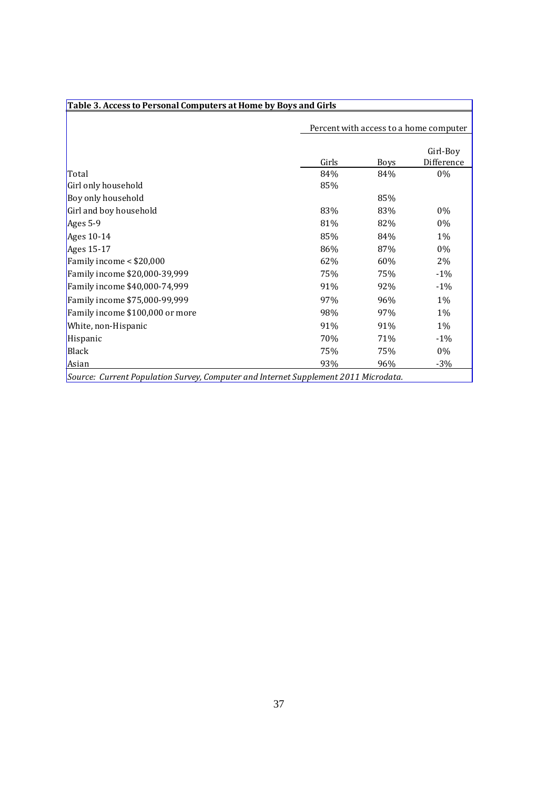| Table 3. Access to Personal Computers at Home by Boys and Girls                     |       |                                        |            |  |  |  |
|-------------------------------------------------------------------------------------|-------|----------------------------------------|------------|--|--|--|
|                                                                                     |       | Percent with access to a home computer |            |  |  |  |
|                                                                                     |       |                                        | Girl-Boy   |  |  |  |
|                                                                                     | Girls | <b>Boys</b>                            | Difference |  |  |  |
| Total                                                                               | 84%   | 84%                                    | 0%         |  |  |  |
| Girl only household                                                                 | 85%   |                                        |            |  |  |  |
| Boy only household                                                                  |       | 85%                                    |            |  |  |  |
| Girl and boy household                                                              | 83%   | 83%                                    | 0%         |  |  |  |
| Ages $5-9$                                                                          | 81%   | 82%                                    | 0%         |  |  |  |
| Ages 10-14                                                                          | 85%   | 84%                                    | $1\%$      |  |  |  |
| Ages 15-17                                                                          | 86%   | 87%                                    | 0%         |  |  |  |
| Family income $<$ \$20,000                                                          | 62%   | 60%                                    | 2%         |  |  |  |
| Family income \$20,000-39,999                                                       | 75%   | 75%                                    | $-1\%$     |  |  |  |
| Family income \$40,000-74,999                                                       | 91%   | 92%                                    | $-1%$      |  |  |  |
| Family income \$75,000-99,999                                                       | 97%   | 96%                                    | 1%         |  |  |  |
| Family income \$100,000 or more                                                     | 98%   | 97%                                    | 1%         |  |  |  |
| White, non-Hispanic                                                                 | 91%   | 91%                                    | 1%         |  |  |  |
| Hispanic                                                                            | 70%   | 71%                                    | $-1\%$     |  |  |  |
| Black                                                                               | 75%   | 75%                                    | 0%         |  |  |  |
| Asian                                                                               | 93%   | 96%                                    | $-3%$      |  |  |  |
| Source: Current Population Survey, Computer and Internet Supplement 2011 Microdata. |       |                                        |            |  |  |  |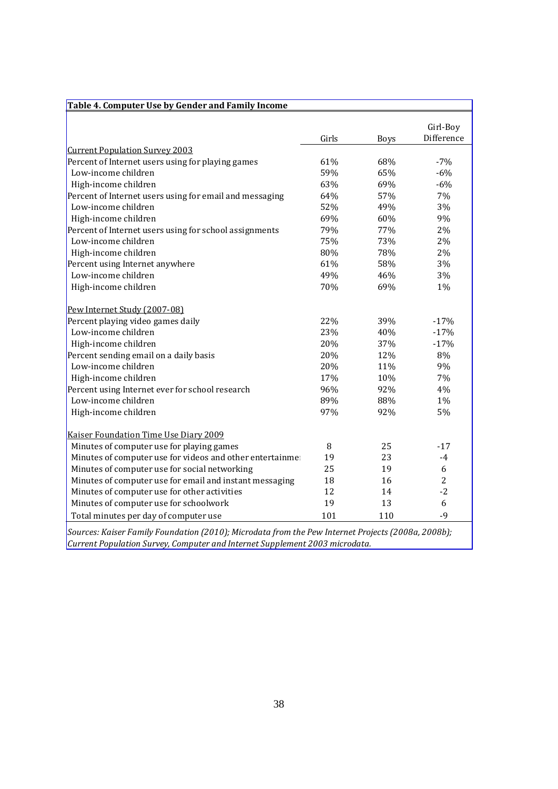| Table 4. Computer Use by Gender and Family Income                                                                                                                                 |       |             |                |
|-----------------------------------------------------------------------------------------------------------------------------------------------------------------------------------|-------|-------------|----------------|
|                                                                                                                                                                                   |       |             | Girl-Boy       |
|                                                                                                                                                                                   | Girls | <b>Boys</b> | Difference     |
| <b>Current Population Survey 2003</b>                                                                                                                                             |       |             |                |
| Percent of Internet users using for playing games                                                                                                                                 | 61%   | 68%         | $-7%$          |
| Low-income children                                                                                                                                                               | 59%   | 65%         | $-6%$          |
| High-income children                                                                                                                                                              | 63%   | 69%         | $-6%$          |
| Percent of Internet users using for email and messaging                                                                                                                           | 64%   | 57%         | 7%             |
| Low-income children                                                                                                                                                               | 52%   | 49%         | 3%             |
| High-income children                                                                                                                                                              | 69%   | 60%         | 9%             |
| Percent of Internet users using for school assignments                                                                                                                            | 79%   | 77%         | 2%             |
| Low-income children                                                                                                                                                               | 75%   | 73%         | 2%             |
| High-income children                                                                                                                                                              | 80%   | 78%         | 2%             |
| Percent using Internet anywhere                                                                                                                                                   | 61%   | 58%         | 3%             |
| Low-income children                                                                                                                                                               | 49%   | 46%         | 3%             |
| High-income children                                                                                                                                                              | 70%   | 69%         | 1%             |
| Pew Internet Study (2007-08)                                                                                                                                                      |       |             |                |
| Percent playing video games daily                                                                                                                                                 | 22%   | 39%         | $-17%$         |
| Low-income children                                                                                                                                                               | 23%   | 40%         | $-17%$         |
| High-income children                                                                                                                                                              | 20%   | 37%         | $-17%$         |
| Percent sending email on a daily basis                                                                                                                                            | 20%   | 12%         | 8%             |
| Low-income children                                                                                                                                                               | 20%   | 11%         | 9%             |
| High-income children                                                                                                                                                              | 17%   | 10%         | 7%             |
| Percent using Internet ever for school research                                                                                                                                   | 96%   | 92%         | 4%             |
| Low-income children                                                                                                                                                               | 89%   | 88%         | 1%             |
| High-income children                                                                                                                                                              | 97%   | 92%         | 5%             |
| Kaiser Foundation Time Use Diary 2009                                                                                                                                             |       |             |                |
| Minutes of computer use for playing games                                                                                                                                         | 8     | 25          | $-17$          |
| Minutes of computer use for videos and other entertainme:                                                                                                                         | 19    | 23          | -4             |
| Minutes of computer use for social networking                                                                                                                                     | 25    | 19          | 6              |
| Minutes of computer use for email and instant messaging                                                                                                                           | 18    | 16          | $\overline{2}$ |
| Minutes of computer use for other activities                                                                                                                                      | 12    | 14          | $-2$           |
| Minutes of computer use for schoolwork                                                                                                                                            | 19    | 13          | 6              |
| Total minutes per day of computer use                                                                                                                                             | 101   | 110         | $-9$           |
| Sources: Kaiser Family Foundation (2010); Microdata from the Pew Internet Projects (2008a, 2008b);<br>Current Population Survey, Computer and Internet Supplement 2003 microdata. |       |             |                |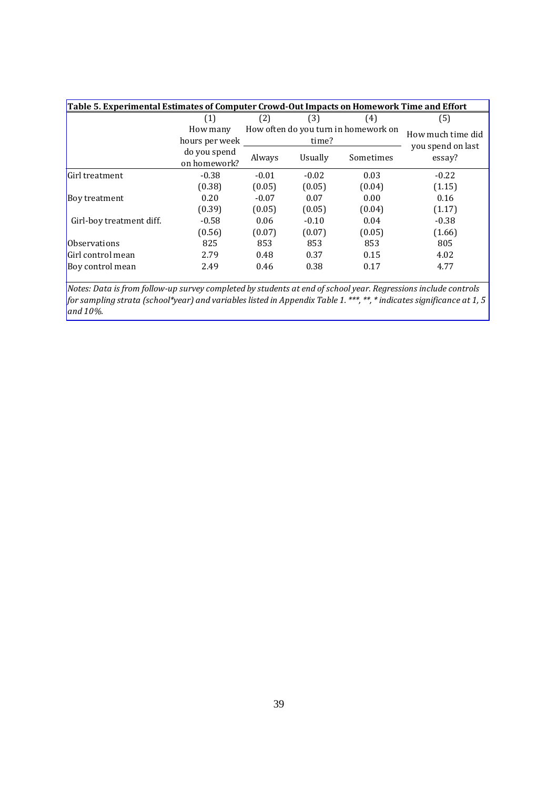| Table 5. Experimental Estimates of Computer Crowd-Out Impacts on Homework Time and Effort                      |                              |         |         |                                      |                             |  |  |  |
|----------------------------------------------------------------------------------------------------------------|------------------------------|---------|---------|--------------------------------------|-----------------------------|--|--|--|
|                                                                                                                | (1)                          | (2)     | (3)     | (4)                                  | (5)                         |  |  |  |
|                                                                                                                | How many                     |         |         | How often do you turn in homework on | How much time did           |  |  |  |
|                                                                                                                | hours per week               |         | time?   |                                      |                             |  |  |  |
|                                                                                                                | do you spend<br>on homework? | Always  | Usually | Sometimes                            | you spend on last<br>essay? |  |  |  |
| Girl treatment                                                                                                 | $-0.38$                      | $-0.01$ | $-0.02$ | 0.03                                 | $-0.22$                     |  |  |  |
|                                                                                                                | (0.38)                       | (0.05)  | (0.05)  | (0.04)                               | (1.15)                      |  |  |  |
| <b>Boy treatment</b>                                                                                           | 0.20                         | $-0.07$ | 0.07    | 0.00                                 | 0.16                        |  |  |  |
|                                                                                                                | (0.39)                       | (0.05)  | (0.05)  | (0.04)                               | (1.17)                      |  |  |  |
| Girl-boy treatment diff.                                                                                       | $-0.58$                      | 0.06    | $-0.10$ | 0.04                                 | $-0.38$                     |  |  |  |
|                                                                                                                | (0.56)                       | (0.07)  | (0.07)  | (0.05)                               | (1.66)                      |  |  |  |
| Observations                                                                                                   | 825                          | 853     | 853     | 853                                  | 805                         |  |  |  |
| Girl control mean                                                                                              | 2.79                         | 0.48    | 0.37    | 0.15                                 | 4.02                        |  |  |  |
| Boy control mean                                                                                               | 2.49                         | 0.46    | 0.38    | 0.17                                 | 4.77                        |  |  |  |
| Notes: Data is from follow-un survey completed by students at end of school year. Rearessions include controls |                              |         |         |                                      |                             |  |  |  |

Notes: Data is from follow-up survey completed by students at end of school year. Regressions include controls for sampling strata (school\*year) and variables listed in Appendix Table 1. \*\*\*, \*\*, \* indicates significance at 1, 5 *and 10%.*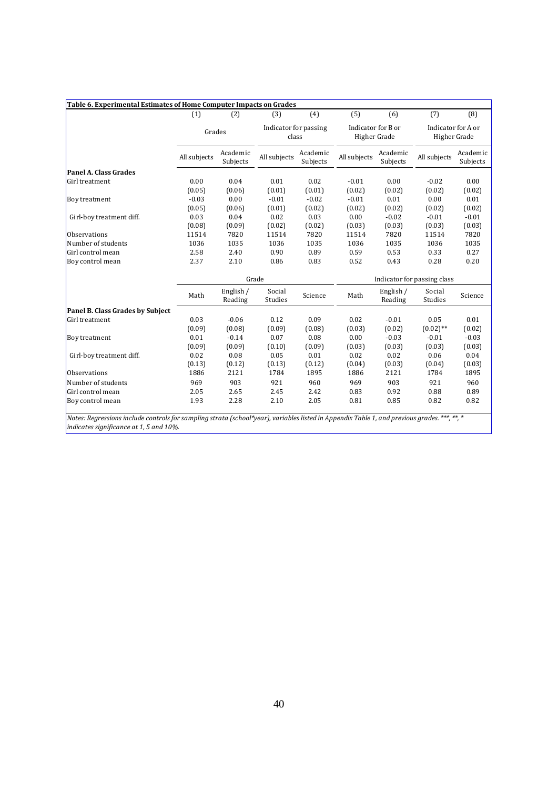|                                  | (1)               | (2)                  | (3)                            | (4)                  | (5)                                | (6)                  | (7)                                | (8)                  |
|----------------------------------|-------------------|----------------------|--------------------------------|----------------------|------------------------------------|----------------------|------------------------------------|----------------------|
|                                  | Grades            |                      | Indicator for passing<br>class |                      | Indicator for B or<br>Higher Grade |                      | Indicator for A or<br>Higher Grade |                      |
|                                  | All subjects      | Academic<br>Subjects | All subjects                   | Academic<br>Subjects | All subjects                       | Academic<br>Subjects | All subjects                       | Academic<br>Subjects |
| Panel A. Class Grades            |                   |                      |                                |                      |                                    |                      |                                    |                      |
| Girl treatment                   | 0.00<br>(0.05)    | 0.04<br>(0.06)       | 0.01<br>(0.01)                 | 0.02<br>(0.01)       | $-0.01$<br>(0.02)                  | 0.00<br>(0.02)       | $-0.02$<br>(0.02)                  | 0.00<br>(0.02)       |
| Boy treatment                    | $-0.03$<br>(0.05) | 0.00<br>(0.06)       | $-0.01$<br>(0.01)              | $-0.02$<br>(0.02)    | $-0.01$<br>(0.02)                  | 0.01<br>(0.02)       | 0.00<br>(0.02)                     | 0.01<br>(0.02)       |
| Girl-boy treatment diff.         | 0.03<br>(0.08)    | 0.04<br>(0.09)       | 0.02<br>(0.02)                 | 0.03<br>(0.02)       | 0.00<br>(0.03)                     | $-0.02$<br>(0.03)    | $-0.01$<br>(0.03)                  | $-0.01$<br>(0.03)    |
| Observations                     | 11514             | 7820                 | 11514                          | 7820                 | 11514                              | 7820                 | 11514                              | 7820                 |
| Number of students               | 1036              | 1035                 | 1036                           | 1035                 | 1036                               | 1035                 | 1036                               | 1035                 |
| Girl control mean                | 2.58              | 2.40                 | 0.90                           | 0.89                 | 0.59                               | 0.53                 | 0.33                               | 0.27                 |
| Boy control mean                 | 2.37              | 2.10                 | 0.86                           | 0.83                 | 0.52                               | 0.43                 | 0.28                               | 0.20                 |
|                                  |                   |                      | Grade                          |                      | Indicator for passing class        |                      |                                    |                      |
|                                  | Math              | English /<br>Reading | Social<br>Studies              | Science              | Math                               | English /<br>Reading | Social<br>Studies                  | Science              |
| Panel B. Class Grades by Subject |                   |                      |                                |                      |                                    |                      |                                    |                      |
| Girl treatment                   | 0.03              | $-0.06$              | 0.12                           | 0.09                 | 0.02                               | $-0.01$              | 0.05                               | 0.01                 |
|                                  | (0.09)            | (0.08)               | (0.09)                         | (0.08)               | (0.03)                             | (0.02)               | $(0.02)$ **                        | (0.02)               |
| Boy treatment                    | 0.01              | $-0.14$              | 0.07                           | 0.08                 | 0.00                               | $-0.03$              | $-0.01$                            | $-0.03$              |
|                                  | (0.09)            | (0.09)               | (0.10)                         | (0.09)               | (0.03)                             | (0.03)               | (0.03)                             | (0.03)               |
| Girl-boy treatment diff.         | 0.02              | 0.08                 | 0.05                           | 0.01                 | 0.02                               | 0.02                 | 0.06                               | 0.04                 |
|                                  | (0.13)            | (0.12)               | (0.13)                         | (0.12)               | (0.04)                             | (0.03)               | (0.04)                             | (0.03)               |
| Observations                     | 1886              | 2121                 | 1784                           | 1895                 | 1886                               | 2121                 | 1784                               | 1895                 |
| Number of students               | 969               | 903                  | 921                            | 960                  | 969                                | 903                  | 921                                | 960                  |
| Girl control mean                | 2.05              | 2.65                 | 2.45                           | 2.42                 | 0.83                               | 0.92                 | 0.88                               | 0.89                 |
| Boy control mean                 | 1.93              | 2.28                 | 2.10                           | 2.05                 | 0.81                               | 0.85                 | 0.82                               | 0.82                 |

*indicates significance at 1, 5 and 10%.*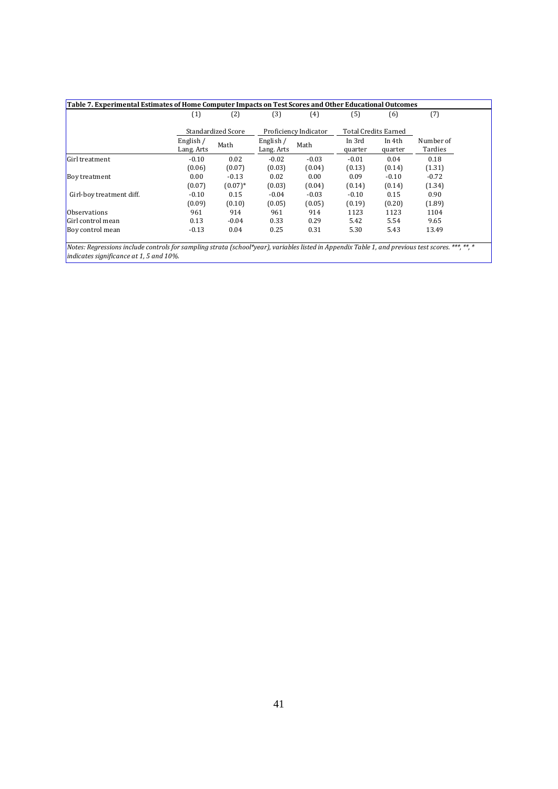| Table 7. Experimental Estimates of Home Computer Impacts on Test Scores and Other Educational Outcomes                                                                                       |                         |                    |                         |                       |                   |                             |                      |  |
|----------------------------------------------------------------------------------------------------------------------------------------------------------------------------------------------|-------------------------|--------------------|-------------------------|-----------------------|-------------------|-----------------------------|----------------------|--|
|                                                                                                                                                                                              | (1)                     | (2)                | (3)                     | (4)                   | (5)               | (6)                         | (7)                  |  |
|                                                                                                                                                                                              |                         | Standardized Score |                         | Proficiency Indicator |                   | <b>Total Credits Earned</b> |                      |  |
|                                                                                                                                                                                              | English /<br>Lang. Arts | Math               | English /<br>Lang. Arts | Math                  | In 3rd<br>quarter | In 4th<br>quarter           | Number of<br>Tardies |  |
| Girl treatment                                                                                                                                                                               | $-0.10$                 | 0.02               | $-0.02$                 | $-0.03$               | $-0.01$           | 0.04                        | 0.18                 |  |
|                                                                                                                                                                                              | (0.06)                  | (0.07)             | (0.03)                  | (0.04)                | (0.13)            | (0.14)                      | (1.31)               |  |
| Boy treatment                                                                                                                                                                                | 0.00                    | $-0.13$            | 0.02                    | 0.00                  | 0.09              | $-0.10$                     | $-0.72$              |  |
|                                                                                                                                                                                              | (0.07)                  | $(0.07)^*$         | (0.03)                  | (0.04)                | (0.14)            | (0.14)                      | (1.34)               |  |
| Girl-boy treatment diff.                                                                                                                                                                     | $-0.10$                 | 0.15               | $-0.04$                 | $-0.03$               | $-0.10$           | 0.15                        | 0.90                 |  |
|                                                                                                                                                                                              | (0.09)                  | (0.10)             | (0.05)                  | (0.05)                | (0.19)            | (0.20)                      | (1.89)               |  |
| <b>Observations</b>                                                                                                                                                                          | 961                     | 914                | 961                     | 914                   | 1123              | 1123                        | 1104                 |  |
| Girl control mean                                                                                                                                                                            | 0.13                    | $-0.04$            | 0.33                    | 0.29                  | 5.42              | 5.54                        | 9.65                 |  |
| Boy control mean                                                                                                                                                                             | $-0.13$                 | 0.04               | 0.25                    | 0.31                  | 5.30              | 5.43                        | 13.49                |  |
|                                                                                                                                                                                              |                         |                    |                         |                       |                   |                             |                      |  |
| Notes: Regressions include controls for sampling strata (school*year), variables listed in Appendix Table 1, and previous test scores. ***, **, *<br>indicates significance at 1, 5 and 10%. |                         |                    |                         |                       |                   |                             |                      |  |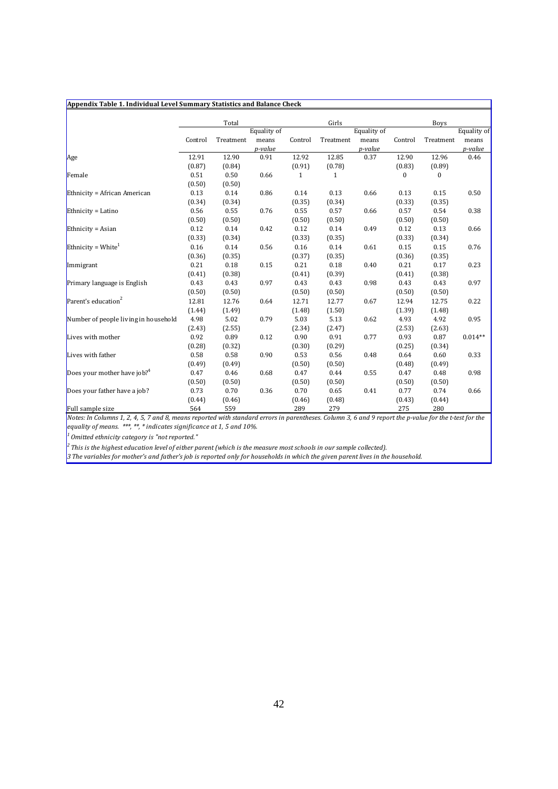| Appendix Table 1. Individual Level Summary Statistics and Balance Check |                |           |             |              |              |             |                  |             |             |
|-------------------------------------------------------------------------|----------------|-----------|-------------|--------------|--------------|-------------|------------------|-------------|-------------|
|                                                                         |                |           |             |              |              |             |                  |             |             |
|                                                                         |                | Total     | Equality of |              | Girls        | Equality of |                  | <b>Boys</b> | Equality of |
|                                                                         | Control        | Treatment | means       | Control      | Treatment    | means       | Control          | Treatment   | means       |
|                                                                         |                |           | p-value     |              |              | p-value     |                  |             | p-value     |
|                                                                         | 12.91          | 12.90     | 0.91        | 12.92        | 12.85        | 0.37        | 12.90            | 12.96       | 0.46        |
| Age                                                                     | (0.87)         | (0.84)    |             | (0.91)       | (0.78)       |             | (0.83)           | (0.89)      |             |
| Female                                                                  | 0.51           | 0.50      | 0.66        | $\mathbf{1}$ | $\mathbf{1}$ |             | $\boldsymbol{0}$ | $\bf{0}$    |             |
|                                                                         |                | (0.50)    |             |              |              |             |                  |             |             |
| Ethnicity = African American                                            | (0.50)<br>0.13 | 0.14      | 0.86        | 0.14         | 0.13         | 0.66        | 0.13             | 0.15        | 0.50        |
|                                                                         |                |           |             |              |              |             |                  |             |             |
|                                                                         | (0.34)         | (0.34)    |             | (0.35)       | (0.34)       |             | (0.33)           | (0.35)      |             |
| Ethnicity = Latino                                                      | 0.56           | 0.55      | 0.76        | 0.55         | 0.57         | 0.66        | 0.57             | 0.54        | 0.38        |
|                                                                         | (0.50)         | (0.50)    |             | (0.50)       | (0.50)       |             | (0.50)           | (0.50)      |             |
| Ethnicity = Asian                                                       | 0.12           | 0.14      | 0.42        | 0.12         | 0.14         | 0.49        | 0.12             | 0.13        | 0.66        |
|                                                                         | (0.33)         | (0.34)    |             | (0.33)       | (0.35)       |             | (0.33)           | (0.34)      |             |
| Ethnicity = White <sup>1</sup>                                          | 0.16           | 0.14      | 0.56        | 0.16         | 0.14         | 0.61        | 0.15             | 0.15        | 0.76        |
|                                                                         | (0.36)         | (0.35)    |             | (0.37)       | (0.35)       |             | (0.36)           | (0.35)      |             |
| Immigrant                                                               | 0.21           | 0.18      | 0.15        | 0.21         | 0.18         | 0.40        | 0.21             | 0.17        | 0.23        |
|                                                                         | (0.41)         | (0.38)    |             | (0.41)       | (0.39)       |             | (0.41)           | (0.38)      |             |
| Primary language is English                                             | 0.43           | 0.43      | 0.97        | 0.43         | 0.43         | 0.98        | 0.43             | 0.43        | 0.97        |
|                                                                         | (0.50)         | (0.50)    |             | (0.50)       | (0.50)       |             | (0.50)           | (0.50)      |             |
| Parent's education <sup>2</sup>                                         | 12.81          | 12.76     | 0.64        | 12.71        | 12.77        | 0.67        | 12.94            | 12.75       | 0.22        |
|                                                                         | (1.44)         | (1.49)    |             | (1.48)       | (1.50)       |             | (1.39)           | (1.48)      |             |
| Number of people living in household                                    | 4.98           | 5.02      | 0.79        | 5.03         | 5.13         | 0.62        | 4.93             | 4.92        | 0.95        |
|                                                                         | (2.43)         | (2.55)    |             | (2.34)       | (2.47)       |             | (2.53)           | (2.63)      |             |
| Lives with mother                                                       | 0.92           | 0.89      | 0.12        | 0.90         | 0.91         | 0.77        | 0.93             | 0.87        | $0.014**$   |
|                                                                         | (0.28)         | (0.32)    |             | (0.30)       | (0.29)       |             | (0.25)           | (0.34)      |             |
| Lives with father                                                       | 0.58           | 0.58      | 0.90        | 0.53         | 0.56         | 0.48        | 0.64             | 0.60        | 0.33        |
|                                                                         | (0.49)         | (0.49)    |             | (0.50)       | (0.50)       |             | (0.48)           | (0.49)      |             |
| Does your mother have job? $4$                                          | 0.47           | 0.46      | 0.68        | 0.47         | 0.44         | 0.55        | 0.47             | 0.48        | 0.98        |
|                                                                         | (0.50)         | (0.50)    |             | (0.50)       | (0.50)       |             | (0.50)           | (0.50)      |             |
| Does your father have a job?                                            | 0.73           | 0.70      | 0.36        | 0.70         | 0.65         | 0.41        | 0.77             | 0.74        | 0.66        |
|                                                                         | (0.44)         | (0.46)    |             | (0.46)       | (0.48)       |             | (0.43)           | (0.44)      |             |
| Full sample size                                                        | 564            | 559       |             | 289          | 279          |             | 275              | 280         |             |

Notes: In Columns 1, 2, 4, 5, 7 and 8, means reported with standard errors in parentheses. Column 3, 6 and 9 report the p-value for the t-test for the *equality of means. \*\*\*, \*\*, \* indicates significance at 1, 5 and 10%.*

*<sup>1</sup> Omitted ethnicity category is "not reported."*

 $^2$  This is the highest education level of either parent (which is the measure most schools in our sample collected).

3 The variables for mother's and father's job is reported only for households in which the given parent lives in the household.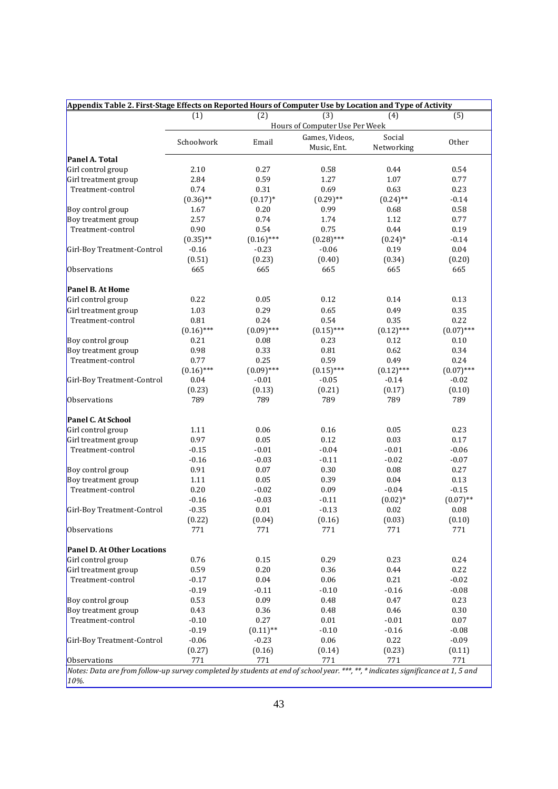| Appendix Table 2. First-Stage Effects on Reported Hours of Computer Use by Location and Type of Activity                         |              |              |                                |                       |              |  |  |
|----------------------------------------------------------------------------------------------------------------------------------|--------------|--------------|--------------------------------|-----------------------|--------------|--|--|
|                                                                                                                                  | (1)          | (2)          | (3)                            | (4)                   | (5)          |  |  |
|                                                                                                                                  |              |              | Hours of Computer Use Per Week |                       |              |  |  |
|                                                                                                                                  | Schoolwork   | Email        | Games, Videos,                 | Social                | Other        |  |  |
|                                                                                                                                  |              |              | Music, Ent.                    | Networking            |              |  |  |
| Panel A. Total                                                                                                                   |              |              |                                |                       |              |  |  |
| Girl control group                                                                                                               | 2.10         | 0.27         | 0.58                           | 0.44                  | 0.54         |  |  |
| Girl treatment group                                                                                                             | 2.84         | 0.59         | 1.27                           | 1.07                  | 0.77         |  |  |
| Treatment-control                                                                                                                | 0.74         | 0.31         | 0.69                           | 0.63                  | 0.23         |  |  |
|                                                                                                                                  | $(0.36)$ **  | $(0.17)*$    | $(0.29)$ **                    | $(0.24)$ **           | $-0.14$      |  |  |
| Boy control group                                                                                                                | 1.67         | 0.20         | 0.99                           | 0.68                  | 0.58         |  |  |
| Boy treatment group                                                                                                              | 2.57         | 0.74         | 1.74                           | 1.12                  | 0.77         |  |  |
| Treatment-control                                                                                                                | 0.90         | 0.54         | 0.75                           | 0.44                  | 0.19         |  |  |
|                                                                                                                                  | $(0.35)$ **  | $(0.16)$ *** | $(0.28)$ ***                   | $(0.24)$ <sup>*</sup> | $-0.14$      |  |  |
| Girl-Boy Treatment-Control                                                                                                       | $-0.16$      | $-0.23$      | $-0.06$                        | 0.19                  | 0.04         |  |  |
|                                                                                                                                  | (0.51)       | (0.23)       | (0.40)                         | (0.34)                | (0.20)       |  |  |
| Observations                                                                                                                     | 665          | 665          | 665                            | 665                   | 665          |  |  |
| Panel B. At Home                                                                                                                 |              |              |                                |                       |              |  |  |
| Girl control group                                                                                                               | 0.22         | 0.05         | 0.12                           | 0.14                  | 0.13         |  |  |
| Girl treatment group                                                                                                             | 1.03         | 0.29         | 0.65                           | 0.49                  | 0.35         |  |  |
| Treatment-control                                                                                                                | 0.81         | 0.24         | 0.54                           | 0.35                  | 0.22         |  |  |
|                                                                                                                                  | $(0.16)$ *** | $(0.09)$ *** | $(0.15)$ ***                   | $(0.12)$ ***          | $(0.07)$ *** |  |  |
| Boy control group                                                                                                                | 0.21         | 0.08         | 0.23                           | 0.12                  | 0.10         |  |  |
| Boy treatment group                                                                                                              | 0.98         | 0.33         | 0.81                           | 0.62                  | 0.34         |  |  |
| Treatment-control                                                                                                                | 0.77         | 0.25         | 0.59                           | 0.49                  | 0.24         |  |  |
|                                                                                                                                  | $(0.16)$ *** | $(0.09)$ *** | $(0.15)$ ***                   | $(0.12)$ ***          | $(0.07)$ *** |  |  |
| Girl-Boy Treatment-Control                                                                                                       | 0.04         | $-0.01$      | $-0.05$                        | $-0.14$               | $-0.02$      |  |  |
|                                                                                                                                  | (0.23)       | (0.13)       | (0.21)                         | (0.17)                | (0.10)       |  |  |
| Observations                                                                                                                     | 789          | 789          | 789                            | 789                   | 789          |  |  |
| Panel C. At School                                                                                                               |              |              |                                |                       |              |  |  |
| Girl control group                                                                                                               | 1.11         | 0.06         | 0.16                           | 0.05                  | 0.23         |  |  |
| Girl treatment group                                                                                                             | 0.97         | 0.05         | 0.12                           | 0.03                  | 0.17         |  |  |
| Treatment-control                                                                                                                | $-0.15$      | $-0.01$      | $-0.04$                        | $-0.01$               | $-0.06$      |  |  |
|                                                                                                                                  | $-0.16$      | $-0.03$      | $-0.11$                        | $-0.02$               | $-0.07$      |  |  |
| Boy control group                                                                                                                | 0.91         | 0.07         | 0.30                           | 0.08                  | 0.27         |  |  |
| Boy treatment group                                                                                                              | 1.11         | 0.05         | 0.39                           | 0.04                  | 0.13         |  |  |
| Treatment-control                                                                                                                | 0.20         | $-0.02$      | 0.09                           | $-0.04$               | $-0.15$      |  |  |
|                                                                                                                                  | $-0.16$      | $-0.03$      | $-0.11$                        | $(0.02)*$             | $(0.07)$ **  |  |  |
| Girl-Boy Treatment-Control                                                                                                       | $-0.35$      | $0.01\,$     | $-0.13$                        | 0.02                  | 0.08         |  |  |
|                                                                                                                                  | (0.22)       | (0.04)       | (0.16)                         | (0.03)                | (0.10)       |  |  |
| Observations                                                                                                                     | 771          | 771          | 771                            | 771                   | 771          |  |  |
| <b>Panel D. At Other Locations</b>                                                                                               |              |              |                                |                       |              |  |  |
| Girl control group                                                                                                               | 0.76         | 0.15         | 0.29                           | 0.23                  | 0.24         |  |  |
| Girl treatment group                                                                                                             | 0.59         | 0.20         | 0.36                           | 0.44                  | 0.22         |  |  |
| Treatment-control                                                                                                                | $-0.17$      | 0.04         | 0.06                           | 0.21                  | $-0.02$      |  |  |
|                                                                                                                                  | $-0.19$      | $-0.11$      | $-0.10$                        | $-0.16$               | $-0.08$      |  |  |
| Boy control group                                                                                                                | 0.53         | 0.09         | 0.48                           | 0.47                  | 0.23         |  |  |
| Boy treatment group                                                                                                              | 0.43         | 0.36         | 0.48                           | 0.46                  | 0.30         |  |  |
| Treatment-control                                                                                                                | $-0.10$      | 0.27         | 0.01                           | $-0.01$               | 0.07         |  |  |
|                                                                                                                                  | $-0.19$      | $(0.11)$ **  | $-0.10$                        | $-0.16$               | $-0.08$      |  |  |
| Girl-Boy Treatment-Control                                                                                                       | $-0.06$      | $-0.23$      | 0.06                           | 0.22                  | $-0.09$      |  |  |
|                                                                                                                                  | (0.27)       | (0.16)       | (0.14)                         | (0.23)                | (0.11)       |  |  |
| Observations                                                                                                                     | 771          | 771          | 771                            | 771                   | 771          |  |  |
| Notes: Data are from follow-up survey completed by students at end of school year. ***, **, * indicates significance at 1, 5 and |              |              |                                |                       |              |  |  |
| 10%.                                                                                                                             |              |              |                                |                       |              |  |  |